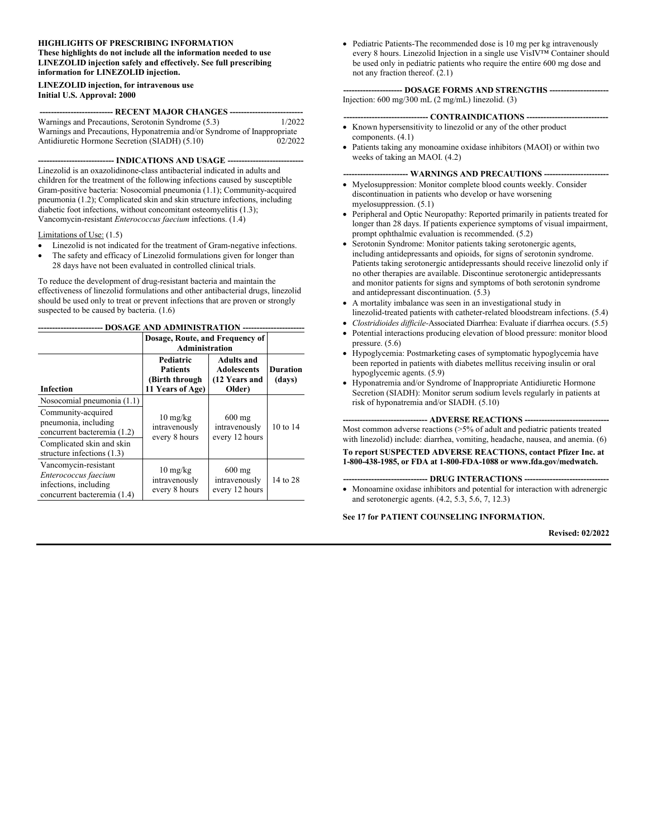#### **HIGHLIGHTS OF PRESCRIBING INFORMATION These highlights do not include all the information needed to use LINEZOLID injection safely and effectively. See full prescribing information for LINEZOLID injection.**

#### **LINEZOLID injection, for intravenous use Initial U.S. Approval: 2000**

#### **-------------------------- RECENT MAJOR CHANGES --------------------------**

| Warnings and Precautions, Serotonin Syndrome (5.3)                      | 1/2022  |
|-------------------------------------------------------------------------|---------|
| Warnings and Precautions, Hyponatremia and/or Syndrome of Inappropriate |         |
| Antidiuretic Hormone Secretion (SIADH) (5.10)                           | 02/2022 |

**--------------------------- INDICATIONS AND USAGE ---------------------------**

Linezolid is an oxazolidinone-class antibacterial indicated in adults and children for the treatment of the following infections caused by susceptible Gram-positive bacteria: Nosocomial pneumonia (1.1); Community-acquired pneumonia (1.2); Complicated skin and skin structure infections, including diabetic foot infections, without concomitant osteomyelitis (1.3); Vancomycin-resistant *Enterococcus faecium* infections. (1.4)

#### Limitations of Use: (1.5)

- Linezolid is not indicated for the treatment of Gram-negative infections.
- The safety and efficacy of Linezolid formulations given for longer than 28 days have not been evaluated in controlled clinical trials.

To reduce the development of drug-resistant bacteria and maintain the effectiveness of linezolid formulations and other antibacterial drugs, linezolid should be used only to treat or prevent infections that are proven or strongly suspected to be caused by bacteria.  $(1.6)$ 

**----------------------- DOSAGE AND ADMINISTRATION ----------------------**

|                                                                                                      | Dosage, Route, and Frequency of<br><b>Administration</b>                   |                                                                    |                           |
|------------------------------------------------------------------------------------------------------|----------------------------------------------------------------------------|--------------------------------------------------------------------|---------------------------|
| <b>Infection</b>                                                                                     | <b>Pediatric</b><br><b>Patients</b><br>(Birth through)<br>11 Years of Age) | <b>Adults and</b><br><b>Adolescents</b><br>(12 Years and<br>Older) | <b>Duration</b><br>(days) |
| Nosocomial pneumonia (1.1)                                                                           |                                                                            |                                                                    |                           |
| Community-acquired<br>pneumonia, including<br>concurrent bacteremia (1.2)                            | $10 \text{ mg/kg}$<br>intravenously<br>every 8 hours                       | $600 \text{ mg}$<br>intravenously<br>every 12 hours                | 10 to 14                  |
| Complicated skin and skin<br>structure infections $(1.3)$                                            |                                                                            |                                                                    |                           |
| Vancomycin-resistant<br>Enterococcus faecium<br>infections, including<br>concurrent bacteremia (1.4) | $10 \frac{\text{mg}}{\text{kg}}$<br>intravenously<br>every 8 hours         | $600$ mg<br>intravenously<br>every 12 hours                        | 14 to 28                  |

 Pediatric Patients-The recommended dose is 10 mg per kg intravenously every 8 hours. Linezolid Injection in a single use VisIV™ Container should be used only in pediatric patients who require the entire 600 mg dose and not any fraction thereof. (2.1)

**--------------------- DOSAGE FORMS AND STRENGTHS ---------------------** Injection: 600 mg/300 mL (2 mg/mL) linezolid. (3)

#### **------------------------------ CONTRAINDICATIONS -----------------------------**

- Known hypersensitivity to linezolid or any of the other product components. (4.1)
- Patients taking any monoamine oxidase inhibitors (MAOI) or within two weeks of taking an MAOI. (4.2)

#### --- WARNINGS AND PRECAUTIONS ---

- Myelosuppression: Monitor complete blood counts weekly. Consider discontinuation in patients who develop or have worsening myelosuppression. (5.1)
- Peripheral and Optic Neuropathy: Reported primarily in patients treated for longer than 28 days. If patients experience symptoms of visual impairment, prompt ophthalmic evaluation is recommended. (5.2)
- Serotonin Syndrome: Monitor patients taking serotonergic agents, including antidepressants and opioids, for signs of serotonin syndrome. Patients taking serotonergic antidepressants should receive linezolid only if no other therapies are available. Discontinue serotonergic antidepressants and monitor patients for signs and symptoms of both serotonin syndrome and antidepressant discontinuation. (5.3)
- A mortality imbalance was seen in an investigational study in linezolid-treated patients with catheter-related bloodstream infections. (5.4)
- *Clostridioides difficile-*Associated Diarrhea: Evaluate if diarrhea occurs. (5.5)
- Potential interactions producing elevation of blood pressure: monitor blood pressure. (5.6)
- Hypoglycemia: Postmarketing cases of symptomatic hypoglycemia have been reported in patients with diabetes mellitus receiving insulin or oral hypoglycemic agents. (5.9)
- Hyponatremia and/or Syndrome of Inappropriate Antidiuretic Hormone Secretion (SIADH): Monitor serum sodium levels regularly in patients at risk of hyponatremia and/or SIADH. (5.10)

#### **---- ADVERSE REACTIONS ---**

Most common adverse reactions (>5% of adult and pediatric patients treated with linezolid) include: diarrhea, vomiting, headache, nausea, and anemia. (6)

**To report SUSPECTED ADVERSE REACTIONS, contact Pfizer Inc. at 1-800-438-1985, or FDA at 1-800-FDA-1088 or www.fda.gov/medwatch.**

#### **------------------------------ DRUG INTERACTIONS ------------------------------**

 Monoamine oxidase inhibitors and potential for interaction with adrenergic and serotonergic agents. (4.2, 5.3, 5.6, 7, 12.3)

#### **See 17 for PATIENT COUNSELING INFORMATION.**

**Revised: 02/2022**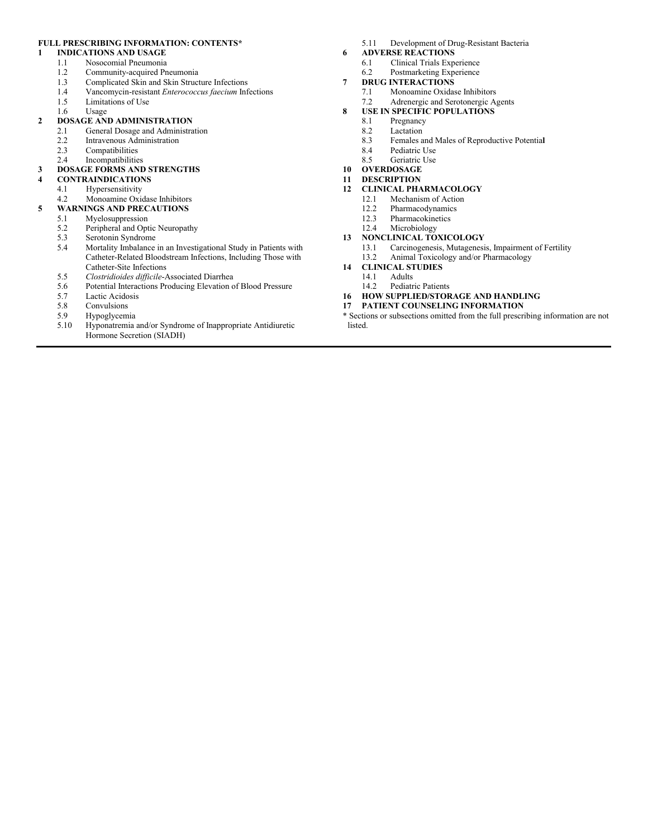#### **FULL PRESCRIBING INFORMATION: CONTENTS\***

#### **1 INDICATIONS AND USAGE**

- 1.1 Nosocomial Pneumonia
- 1.2 Community-acquired Pneumonia<br>1.3 Complicated Skin and Skin Struct
- 1.3 Complicated Skin and Skin Structure Infections<br>1.4 Vancomycin-resistant *Enterococcus faecium* Inf
- 1.4 Vancomycin-resistant *Enterococcus faecium* Infections
- 1.5 Limitations of Use
- 1.6 Usage

#### **2 DOSAGE AND ADMINISTRATION**

- 2.1 General Dosage and Administration
- 2.2 Intravenous Administration
- 2.3 Compatibilities<br>2.4 Incompatibilitie

## **Incompatibilities**

#### **3 DOSAGE FORMS AND STRENGTHS 4 CONTRAINDICATIONS**

- 4.1 Hypersensitivity<br>4.2 Monoamine Oxie
- Monoamine Oxidase Inhibitors **5 WARNINGS AND PRECAUTIONS**

#### 5.1 Myelosuppression

- 5.2 Peripheral and Optic Neuropathy<br>5.3 Serotonin Syndrome
- Serotonin Syndrome
- 5.4 Mortality Imbalance in an Investigational Study in Patients with Catheter-Related Bloodstream Infections, Including Those with Catheter-Site Infections
- 5.5 *Clostridioides difficile*-Associated Diarrhea
- 5.6 Potential Interactions Producing Elevation of Blood Pressure
- Lactic Acidosis
- 
- 5.8 Convulsions<br>5.9 Hypoglycem
- 5.9 Hypoglycemia 5.10 Hyponatremia and/or Syndrome of Inappropriate Antidiuretic Hormone Secretion (SIADH)
- 5.11 Development of Drug-Resistant Bacteria
- **6 ADVERSE REACTIONS** 6.1 Clinical Trials Experience
	- 6.2 Postmarketing Experience
	-
- **7 DRUG INTERACTIONS**<br>7.1 **Monoamine Oxidas** Monoamine Oxidase Inhibitors
	- 7.2 Adrenergic and Serotonergic Agents

#### **8 USE IN SPECIFIC POPULATIONS**

- 8.1 Pregnancy
- 8.2 Lactation<br>8.3 Females a
	- 8.3 Females and Males of Reproductive Potentia**l**
- 
- 8.4 Pediatric Use<br>8.5 Geriatric Use Geriatric Use
- **10 OVERDOSAGE**
- **11 DESCRIPTION**
- **12 CLINICAL PHARMACOLOGY**
	- Mechanism of Action
	- 12.2 Pharmacodynamics
	- 12.3 Pharmacokinetics
	- 12.4 Microbiology

#### **13 NONCLINICAL TOXICOLOGY**

- 13.1 Carcinogenesis, Mutagenesis, Impairment of Fertility
- 13.2 Animal Toxicology and/or Pharmacology
- **14 CLINICAL STUDIES**
	- Adults
	- 14.2 Pediatric Patients
- **16 HOW SUPPLIED/STORAGE AND HANDLING**
- **17 PATIENT COUNSELING INFORMATION**
- \* Sections or subsections omitted from the full prescribing information are not listed.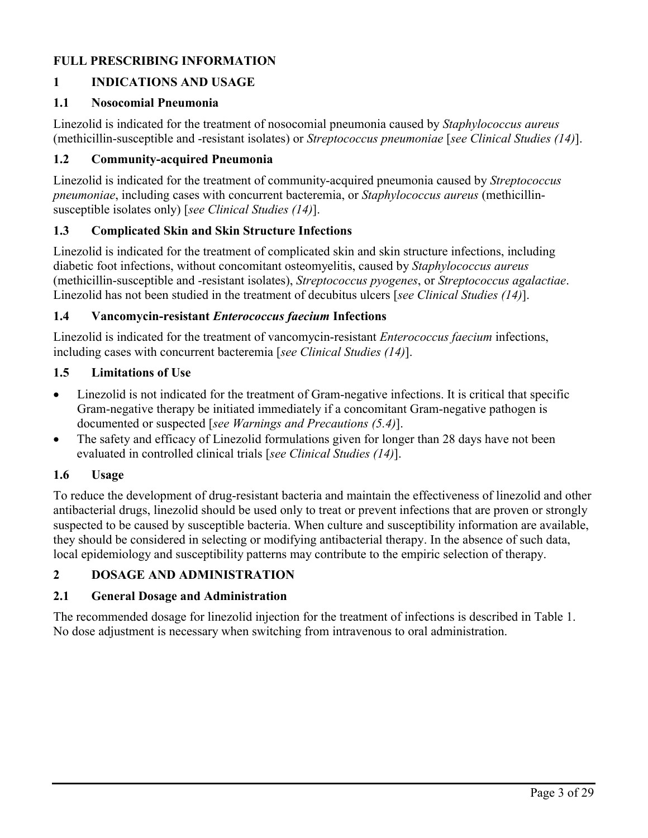# **FULL PRESCRIBING INFORMATION**

# **1 INDICATIONS AND USAGE**

#### **1.1 Nosocomial Pneumonia**

Linezolid is indicated for the treatment of nosocomial pneumonia caused by *Staphylococcus aureus*  (methicillin-susceptible and -resistant isolates) or *Streptococcus pneumoniae* [*see Clinical Studies (14)*].

#### **1.2 Community-acquired Pneumonia**

Linezolid is indicated for the treatment of community-acquired pneumonia caused by *Streptococcus pneumoniae*, including cases with concurrent bacteremia, or *Staphylococcus aureus* (methicillinsusceptible isolates only) [*see Clinical Studies (14)*].

#### **1.3 Complicated Skin and Skin Structure Infections**

Linezolid is indicated for the treatment of complicated skin and skin structure infections, including diabetic foot infections, without concomitant osteomyelitis, caused by *Staphylococcus aureus*  (methicillin-susceptible and -resistant isolates), *Streptococcus pyogenes*, or *Streptococcus agalactiae*. Linezolid has not been studied in the treatment of decubitus ulcers [*see Clinical Studies (14)*].

#### **1.4 Vancomycin-resistant** *Enterococcus faecium* **Infections**

Linezolid is indicated for the treatment of vancomycin-resistant *Enterococcus faecium* infections, including cases with concurrent bacteremia [*see Clinical Studies (14)*].

#### **1.5 Limitations of Use**

- Linezolid is not indicated for the treatment of Gram-negative infections. It is critical that specific Gram-negative therapy be initiated immediately if a concomitant Gram-negative pathogen is documented or suspected [*see Warnings and Precautions (5.4)*].
- The safety and efficacy of Linezolid formulations given for longer than 28 days have not been evaluated in controlled clinical trials [*see Clinical Studies (14)*].

#### **1.6 Usage**

To reduce the development of drug-resistant bacteria and maintain the effectiveness of linezolid and other antibacterial drugs, linezolid should be used only to treat or prevent infections that are proven or strongly suspected to be caused by susceptible bacteria. When culture and susceptibility information are available, they should be considered in selecting or modifying antibacterial therapy. In the absence of such data, local epidemiology and susceptibility patterns may contribute to the empiric selection of therapy.

#### **2 DOSAGE AND ADMINISTRATION**

#### **2.1 General Dosage and Administration**

The recommended dosage for linezolid injection for the treatment of infections is described in Table 1. No dose adjustment is necessary when switching from intravenous to oral administration.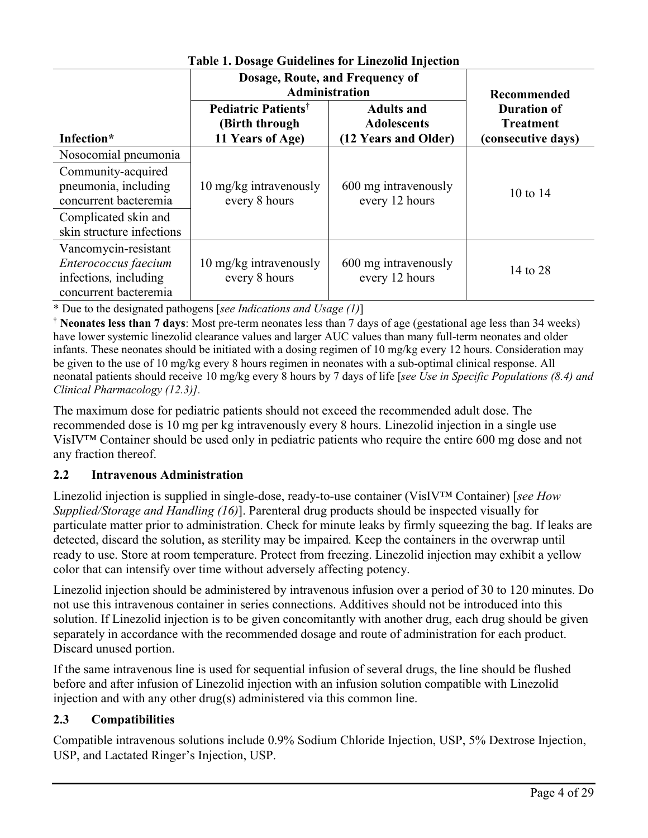| таріс ні розаце Занасніць тог Еніслопа пітесноп                                                |                                                                              |                                                                 |                                                              |  |  |  |
|------------------------------------------------------------------------------------------------|------------------------------------------------------------------------------|-----------------------------------------------------------------|--------------------------------------------------------------|--|--|--|
|                                                                                                | Dosage, Route, and Frequency of<br><b>Administration</b>                     | Recommended                                                     |                                                              |  |  |  |
| Infection*                                                                                     | <b>Pediatric Patients<sup>†</sup></b><br>(Birth through)<br>11 Years of Age) | <b>Adults and</b><br><b>Adolescents</b><br>(12 Years and Older) | <b>Duration of</b><br><b>Treatment</b><br>(consecutive days) |  |  |  |
| Nosocomial pneumonia                                                                           |                                                                              |                                                                 |                                                              |  |  |  |
| Community-acquired<br>pneumonia, including<br>concurrent bacteremia                            | 10 mg/kg intravenously<br>every 8 hours                                      | 600 mg intravenously<br>every 12 hours                          | 10 to 14                                                     |  |  |  |
| Complicated skin and<br>skin structure infections                                              |                                                                              |                                                                 |                                                              |  |  |  |
| Vancomycin-resistant<br>Enterococcus faecium<br>infections, including<br>concurrent bacteremia | 10 mg/kg intravenously<br>every 8 hours                                      | 600 mg intravenously<br>every 12 hours                          | 14 to 28                                                     |  |  |  |

**Table 1. Dosage Guidelines for Linezolid Injection**

\* Due to the designated pathogens [*see Indications and Usage (1)*]

† **Neonates less than 7 days**: Most pre-term neonates less than 7 days of age (gestational age less than 34 weeks) have lower systemic linezolid clearance values and larger AUC values than many full-term neonates and older infants. These neonates should be initiated with a dosing regimen of 10 mg/kg every 12 hours. Consideration may be given to the use of 10 mg/kg every 8 hours regimen in neonates with a sub-optimal clinical response. All neonatal patients should receive 10 mg/kg every 8 hours by 7 days of life [*see Use in Specific Populations (8.4) and Clinical Pharmacology (12.3)].*

The maximum dose for pediatric patients should not exceed the recommended adult dose. The recommended dose is 10 mg per kg intravenously every 8 hours. Linezolid injection in a single use VisIV™ Container should be used only in pediatric patients who require the entire 600 mg dose and not any fraction thereof.

# **2.2 Intravenous Administration**

Linezolid injection is supplied in single-dose, ready-to-use container (VisIV™ Container) [*see How Supplied/Storage and Handling (16)*]. Parenteral drug products should be inspected visually for particulate matter prior to administration. Check for minute leaks by firmly squeezing the bag. If leaks are detected, discard the solution, as sterility may be impaired*.* Keep the containers in the overwrap until ready to use. Store at room temperature. Protect from freezing. Linezolid injection may exhibit a yellow color that can intensify over time without adversely affecting potency.

Linezolid injection should be administered by intravenous infusion over a period of 30 to 120 minutes. Do not use this intravenous container in series connections. Additives should not be introduced into this solution. If Linezolid injection is to be given concomitantly with another drug, each drug should be given separately in accordance with the recommended dosage and route of administration for each product. Discard unused portion.

If the same intravenous line is used for sequential infusion of several drugs, the line should be flushed before and after infusion of Linezolid injection with an infusion solution compatible with Linezolid injection and with any other drug(s) administered via this common line.

# **2.3 Compatibilities**

Compatible intravenous solutions include 0.9% Sodium Chloride Injection, USP, 5% Dextrose Injection, USP, and Lactated Ringer's Injection, USP.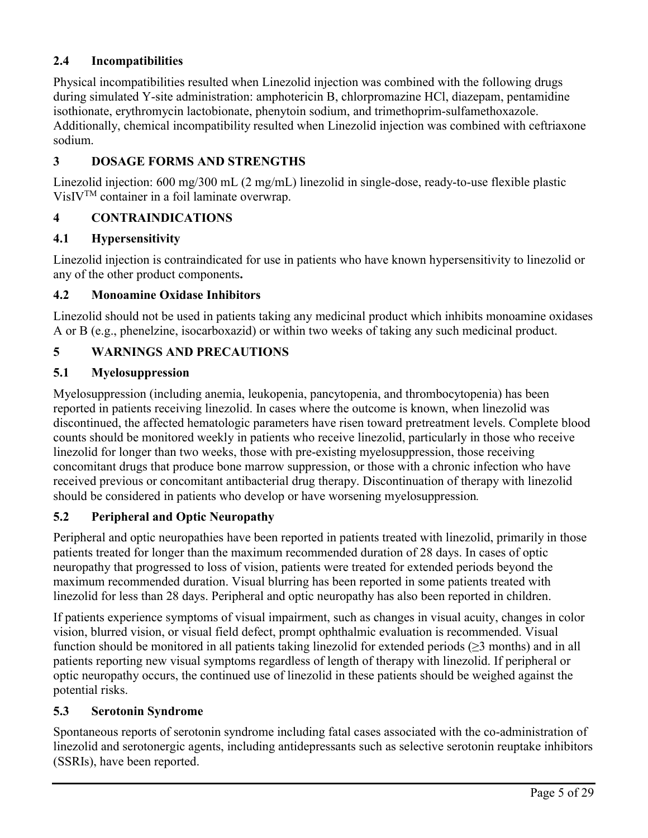# **2.4 Incompatibilities**

Physical incompatibilities resulted when Linezolid injection was combined with the following drugs during simulated Y-site administration: amphotericin B, chlorpromazine HCl, diazepam, pentamidine isothionate, erythromycin lactobionate, phenytoin sodium, and trimethoprim-sulfamethoxazole. Additionally, chemical incompatibility resulted when Linezolid injection was combined with ceftriaxone sodium.

# **3 DOSAGE FORMS AND STRENGTHS**

Linezolid injection: 600 mg/300 mL (2 mg/mL) linezolid in single-dose, ready-to-use flexible plastic  $VisIV<sup>TM</sup> container in a foil laminate overwrap.$ 

# **4 CONTRAINDICATIONS**

#### **4.1 Hypersensitivity**

Linezolid injection is contraindicated for use in patients who have known hypersensitivity to linezolid or any of the other product components**.** 

#### **4.2 Monoamine Oxidase Inhibitors**

Linezolid should not be used in patients taking any medicinal product which inhibits monoamine oxidases A or B (e.g., phenelzine, isocarboxazid) or within two weeks of taking any such medicinal product.

# **5 WARNINGS AND PRECAUTIONS**

#### **5.1 Myelosuppression**

Myelosuppression (including anemia, leukopenia, pancytopenia, and thrombocytopenia) has been reported in patients receiving linezolid. In cases where the outcome is known, when linezolid was discontinued, the affected hematologic parameters have risen toward pretreatment levels. Complete blood counts should be monitored weekly in patients who receive linezolid, particularly in those who receive linezolid for longer than two weeks, those with pre-existing myelosuppression, those receiving concomitant drugs that produce bone marrow suppression, or those with a chronic infection who have received previous or concomitant antibacterial drug therapy. Discontinuation of therapy with linezolid should be considered in patients who develop or have worsening myelosuppression*.* 

#### **5.2 Peripheral and Optic Neuropathy**

Peripheral and optic neuropathies have been reported in patients treated with linezolid, primarily in those patients treated for longer than the maximum recommended duration of 28 days. In cases of optic neuropathy that progressed to loss of vision, patients were treated for extended periods beyond the maximum recommended duration. Visual blurring has been reported in some patients treated with linezolid for less than 28 days. Peripheral and optic neuropathy has also been reported in children.

If patients experience symptoms of visual impairment, such as changes in visual acuity, changes in color vision, blurred vision, or visual field defect, prompt ophthalmic evaluation is recommended. Visual function should be monitored in all patients taking linezolid for extended periods  $(\geq 3 \text{ months})$  and in all patients reporting new visual symptoms regardless of length of therapy with linezolid. If peripheral or optic neuropathy occurs, the continued use of linezolid in these patients should be weighed against the potential risks.

#### **5.3 Serotonin Syndrome**

Spontaneous reports of serotonin syndrome including fatal cases associated with the co-administration of linezolid and serotonergic agents, including antidepressants such as selective serotonin reuptake inhibitors (SSRIs), have been reported.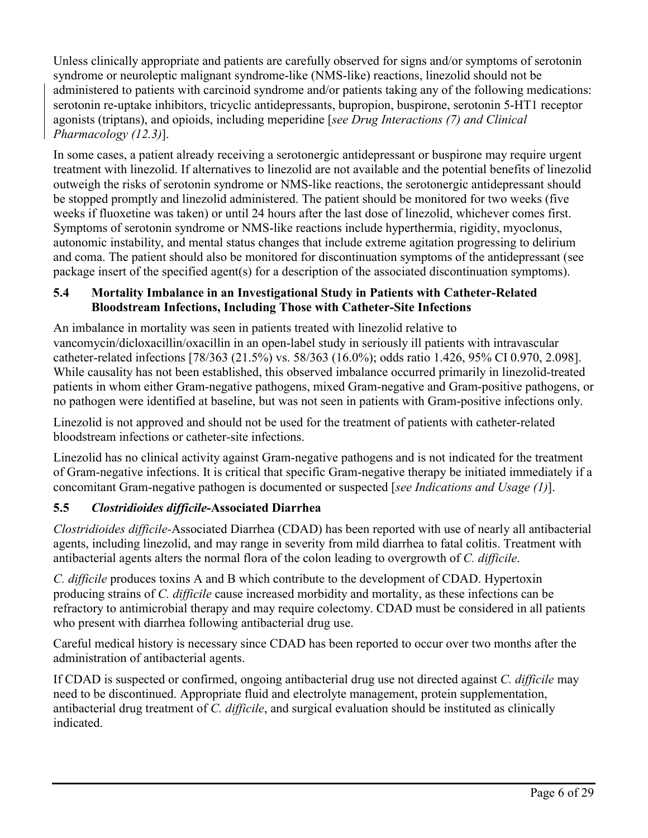Unless clinically appropriate and patients are carefully observed for signs and/or symptoms of serotonin syndrome or neuroleptic malignant syndrome-like (NMS-like) reactions, linezolid should not be administered to patients with carcinoid syndrome and/or patients taking any of the following medications: serotonin re-uptake inhibitors, tricyclic antidepressants, bupropion, buspirone, serotonin 5-HT1 receptor agonists (triptans), and opioids, including meperidine [*see Drug Interactions (7) and Clinical Pharmacology (12.3)*].

In some cases, a patient already receiving a serotonergic antidepressant or buspirone may require urgent treatment with linezolid. If alternatives to linezolid are not available and the potential benefits of linezolid outweigh the risks of serotonin syndrome or NMS-like reactions, the serotonergic antidepressant should be stopped promptly and linezolid administered. The patient should be monitored for two weeks (five weeks if fluoxetine was taken) or until 24 hours after the last dose of linezolid, whichever comes first. Symptoms of serotonin syndrome or NMS-like reactions include hyperthermia, rigidity, myoclonus, autonomic instability, and mental status changes that include extreme agitation progressing to delirium and coma. The patient should also be monitored for discontinuation symptoms of the antidepressant (see package insert of the specified agent(s) for a description of the associated discontinuation symptoms).

# **5.4 Mortality Imbalance in an Investigational Study in Patients with Catheter-Related Bloodstream Infections, Including Those with Catheter-Site Infections**

An imbalance in mortality was seen in patients treated with linezolid relative to vancomycin/dicloxacillin/oxacillin in an open-label study in seriously ill patients with intravascular catheter-related infections [78/363 (21.5%) vs. 58/363 (16.0%); odds ratio 1.426, 95% CI 0.970, 2.098]. While causality has not been established, this observed imbalance occurred primarily in linezolid-treated patients in whom either Gram-negative pathogens, mixed Gram-negative and Gram-positive pathogens, or no pathogen were identified at baseline, but was not seen in patients with Gram-positive infections only.

Linezolid is not approved and should not be used for the treatment of patients with catheter-related bloodstream infections or catheter-site infections.

Linezolid has no clinical activity against Gram-negative pathogens and is not indicated for the treatment of Gram-negative infections. It is critical that specific Gram-negative therapy be initiated immediately if a concomitant Gram-negative pathogen is documented or suspected [*see Indications and Usage (1)*].

# **5.5** *Clostridioides difficile-***Associated Diarrhea**

*Clostridioides difficile-*Associated Diarrhea (CDAD) has been reported with use of nearly all antibacterial agents, including linezolid, and may range in severity from mild diarrhea to fatal colitis. Treatment with antibacterial agents alters the normal flora of the colon leading to overgrowth of *C. difficile*.

*C. difficile* produces toxins A and B which contribute to the development of CDAD. Hypertoxin producing strains of *C. difficile* cause increased morbidity and mortality, as these infections can be refractory to antimicrobial therapy and may require colectomy. CDAD must be considered in all patients who present with diarrhea following antibacterial drug use.

Careful medical history is necessary since CDAD has been reported to occur over two months after the administration of antibacterial agents.

If CDAD is suspected or confirmed, ongoing antibacterial drug use not directed against *C. difficile* may need to be discontinued. Appropriate fluid and electrolyte management, protein supplementation, antibacterial drug treatment of *C. difficile*, and surgical evaluation should be instituted as clinically indicated.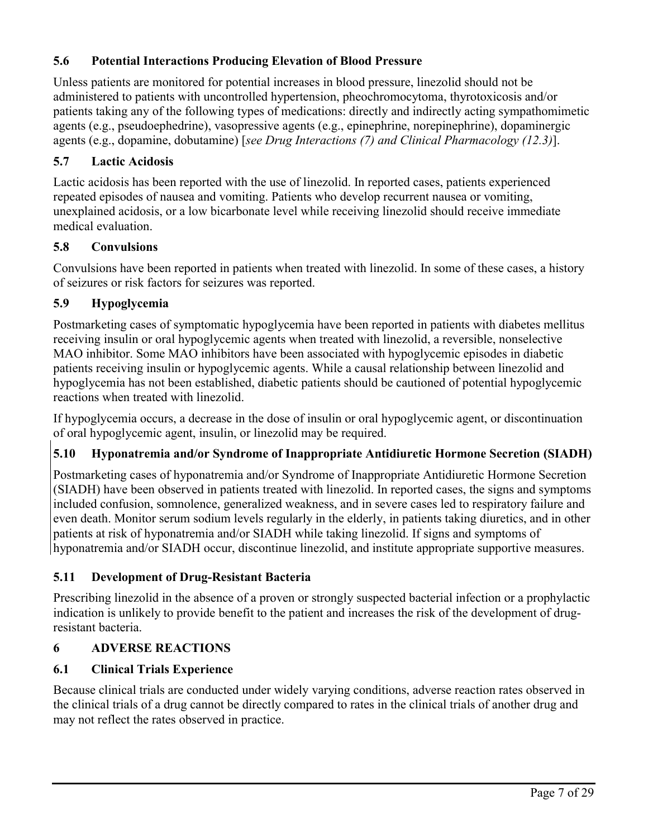# **5.6 Potential Interactions Producing Elevation of Blood Pressure**

Unless patients are monitored for potential increases in blood pressure, linezolid should not be administered to patients with uncontrolled hypertension, pheochromocytoma, thyrotoxicosis and/or patients taking any of the following types of medications: directly and indirectly acting sympathomimetic agents (e.g., pseudoephedrine), vasopressive agents (e.g., epinephrine, norepinephrine), dopaminergic agents (e.g., dopamine, dobutamine) [*see Drug Interactions (7) and Clinical Pharmacology (12.3)*].

# **5.7 Lactic Acidosis**

Lactic acidosis has been reported with the use of linezolid. In reported cases, patients experienced repeated episodes of nausea and vomiting. Patients who develop recurrent nausea or vomiting, unexplained acidosis, or a low bicarbonate level while receiving linezolid should receive immediate medical evaluation.

# **5.8 Convulsions**

Convulsions have been reported in patients when treated with linezolid. In some of these cases, a history of seizures or risk factors for seizures was reported.

# **5.9 Hypoglycemia**

Postmarketing cases of symptomatic hypoglycemia have been reported in patients with diabetes mellitus receiving insulin or oral hypoglycemic agents when treated with linezolid, a reversible, nonselective MAO inhibitor. Some MAO inhibitors have been associated with hypoglycemic episodes in diabetic patients receiving insulin or hypoglycemic agents. While a causal relationship between linezolid and hypoglycemia has not been established, diabetic patients should be cautioned of potential hypoglycemic reactions when treated with linezolid.

If hypoglycemia occurs, a decrease in the dose of insulin or oral hypoglycemic agent, or discontinuation of oral hypoglycemic agent, insulin, or linezolid may be required.

# **5.10 Hyponatremia and/or Syndrome of Inappropriate Antidiuretic Hormone Secretion (SIADH)**

Postmarketing cases of hyponatremia and/or Syndrome of Inappropriate Antidiuretic Hormone Secretion (SIADH) have been observed in patients treated with linezolid. In reported cases, the signs and symptoms included confusion, somnolence, generalized weakness, and in severe cases led to respiratory failure and even death. Monitor serum sodium levels regularly in the elderly, in patients taking diuretics, and in other patients at risk of hyponatremia and/or SIADH while taking linezolid. If signs and symptoms of hyponatremia and/or SIADH occur, discontinue linezolid, and institute appropriate supportive measures.

# **5.11 Development of Drug-Resistant Bacteria**

Prescribing linezolid in the absence of a proven or strongly suspected bacterial infection or a prophylactic indication is unlikely to provide benefit to the patient and increases the risk of the development of drugresistant bacteria.

# **6 ADVERSE REACTIONS**

# **6.1 Clinical Trials Experience**

Because clinical trials are conducted under widely varying conditions, adverse reaction rates observed in the clinical trials of a drug cannot be directly compared to rates in the clinical trials of another drug and may not reflect the rates observed in practice.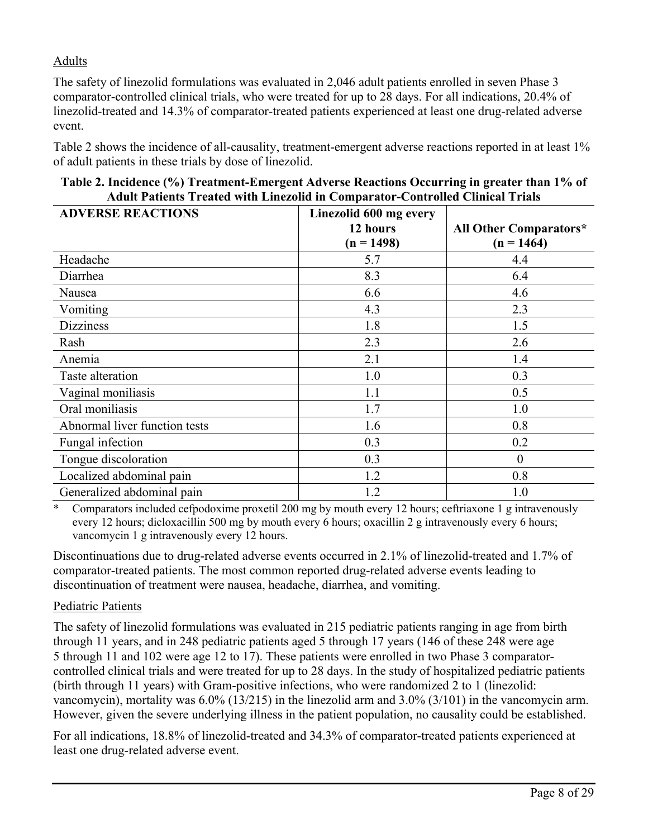# Adults

The safety of linezolid formulations was evaluated in 2,046 adult patients enrolled in seven Phase 3 comparator-controlled clinical trials, who were treated for up to 28 days. For all indications, 20.4% of linezolid-treated and 14.3% of comparator-treated patients experienced at least one drug-related adverse event.

Table 2 shows the incidence of all-causality, treatment-emergent adverse reactions reported in at least 1% of adult patients in these trials by dose of linezolid.

| Table 2. Incidence (%) Treatment-Emergent Adverse Reactions Occurring in greater than 1% of |  |
|---------------------------------------------------------------------------------------------|--|
| <b>Adult Patients Treated with Linezolid in Comparator-Controlled Clinical Trials</b>       |  |

| <b>ADVERSE REACTIONS</b>      | Linezolid 600 mg every<br>12 hours<br>$(n = 1498)$ | <b>All Other Comparators*</b><br>$(n = 1464)$ |
|-------------------------------|----------------------------------------------------|-----------------------------------------------|
| Headache                      | 5.7                                                | 4.4                                           |
| Diarrhea                      | 8.3                                                | 6.4                                           |
| Nausea                        | 6.6                                                | 4.6                                           |
| Vomiting                      | 4.3                                                | 2.3                                           |
| <b>Dizziness</b>              | 1.8                                                | 1.5                                           |
| Rash                          | 2.3                                                | 2.6                                           |
| Anemia                        | 2.1                                                | 1.4                                           |
| Taste alteration              | 1.0                                                | 0.3                                           |
| Vaginal moniliasis            | 1.1                                                | 0.5                                           |
| Oral moniliasis               | 1.7                                                | 1.0                                           |
| Abnormal liver function tests | 1.6                                                | 0.8                                           |
| Fungal infection              | 0.3                                                | 0.2                                           |
| Tongue discoloration          | 0.3                                                | $\boldsymbol{0}$                              |
| Localized abdominal pain      | 1.2                                                | 0.8                                           |
| Generalized abdominal pain    | 1.2                                                | 1.0                                           |

\* Comparators included cefpodoxime proxetil 200 mg by mouth every 12 hours; ceftriaxone 1 g intravenously every 12 hours; dicloxacillin 500 mg by mouth every 6 hours; oxacillin 2 g intravenously every 6 hours; vancomycin 1 g intravenously every 12 hours.

Discontinuations due to drug-related adverse events occurred in 2.1% of linezolid-treated and 1.7% of comparator-treated patients. The most common reported drug-related adverse events leading to discontinuation of treatment were nausea, headache, diarrhea, and vomiting.

#### Pediatric Patients

The safety of linezolid formulations was evaluated in 215 pediatric patients ranging in age from birth through 11 years, and in 248 pediatric patients aged 5 through 17 years (146 of these 248 were age 5 through 11 and 102 were age 12 to 17). These patients were enrolled in two Phase 3 comparatorcontrolled clinical trials and were treated for up to 28 days. In the study of hospitalized pediatric patients (birth through 11 years) with Gram-positive infections, who were randomized 2 to 1 (linezolid: vancomycin), mortality was 6.0% (13/215) in the linezolid arm and 3.0% (3/101) in the vancomycin arm. However, given the severe underlying illness in the patient population, no causality could be established.

For all indications, 18.8% of linezolid-treated and 34.3% of comparator-treated patients experienced at least one drug-related adverse event.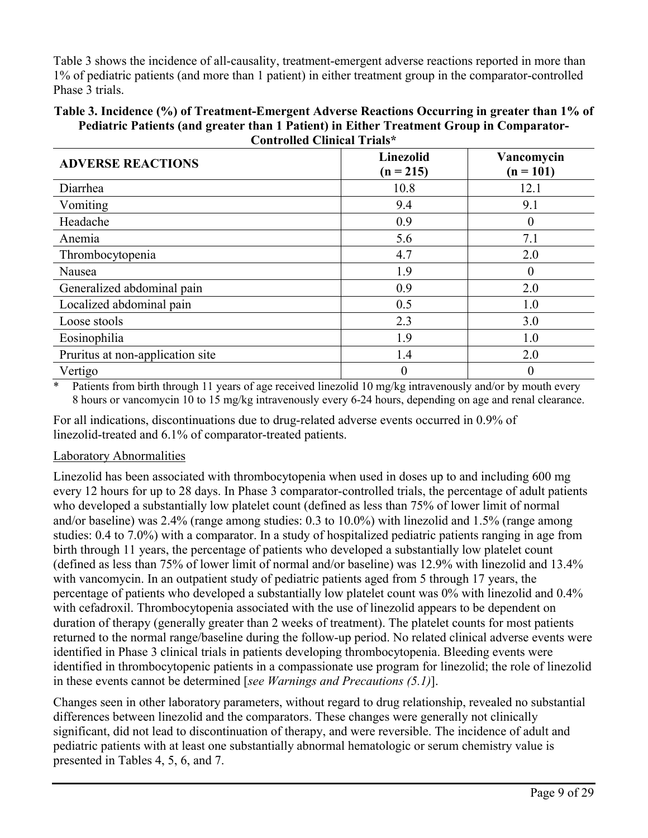Table 3 shows the incidence of all-causality, treatment-emergent adverse reactions reported in more than 1% of pediatric patients (and more than 1 patient) in either treatment group in the comparator-controlled Phase 3 trials.

#### **Table 3. Incidence (%) of Treatment-Emergent Adverse Reactions Occurring in greater than 1% of Pediatric Patients (and greater than 1 Patient) in Either Treatment Group in Comparator-Controlled Clinical Trials\***

| <b>ADVERSE REACTIONS</b>         | Linezolid<br>$(n = 215)$ | Vancomycin<br>$(n = 101)$ |
|----------------------------------|--------------------------|---------------------------|
| Diarrhea                         | 10.8                     | 12.1                      |
| Vomiting                         | 9.4                      | 9.1                       |
| Headache                         | 0.9                      | $\bf{0}$                  |
| Anemia                           | 5.6                      | 7.1                       |
| Thrombocytopenia                 | 4.7                      | 2.0                       |
| Nausea                           | 1.9                      | $\Omega$                  |
| Generalized abdominal pain       | 0.9                      | 2.0                       |
| Localized abdominal pain         | 0.5                      | 1.0                       |
| Loose stools                     | 2.3                      | 3.0                       |
| Eosinophilia                     | 1.9                      | 1.0                       |
| Pruritus at non-application site | 1.4                      | 2.0                       |
| Vertigo                          | $\theta$                 | $\Omega$                  |

\* Patients from birth through 11 years of age received linezolid 10 mg/kg intravenously and/or by mouth every 8 hours or vancomycin 10 to 15 mg/kg intravenously every 6-24 hours, depending on age and renal clearance.

For all indications, discontinuations due to drug-related adverse events occurred in 0.9% of linezolid-treated and 6.1% of comparator-treated patients.

#### Laboratory Abnormalities

Linezolid has been associated with thrombocytopenia when used in doses up to and including 600 mg every 12 hours for up to 28 days. In Phase 3 comparator-controlled trials, the percentage of adult patients who developed a substantially low platelet count (defined as less than 75% of lower limit of normal and/or baseline) was 2.4% (range among studies: 0.3 to 10.0%) with linezolid and 1.5% (range among studies: 0.4 to 7.0%) with a comparator. In a study of hospitalized pediatric patients ranging in age from birth through 11 years, the percentage of patients who developed a substantially low platelet count (defined as less than 75% of lower limit of normal and/or baseline) was 12.9% with linezolid and 13.4% with vancomycin. In an outpatient study of pediatric patients aged from 5 through 17 years, the percentage of patients who developed a substantially low platelet count was 0% with linezolid and 0.4% with cefadroxil. Thrombocytopenia associated with the use of linezolid appears to be dependent on duration of therapy (generally greater than 2 weeks of treatment). The platelet counts for most patients returned to the normal range/baseline during the follow-up period. No related clinical adverse events were identified in Phase 3 clinical trials in patients developing thrombocytopenia. Bleeding events were identified in thrombocytopenic patients in a compassionate use program for linezolid; the role of linezolid in these events cannot be determined [*see Warnings and Precautions (5.1)*].

Changes seen in other laboratory parameters, without regard to drug relationship, revealed no substantial differences between linezolid and the comparators. These changes were generally not clinically significant, did not lead to discontinuation of therapy, and were reversible. The incidence of adult and pediatric patients with at least one substantially abnormal hematologic or serum chemistry value is presented in Tables 4, 5, 6, and 7.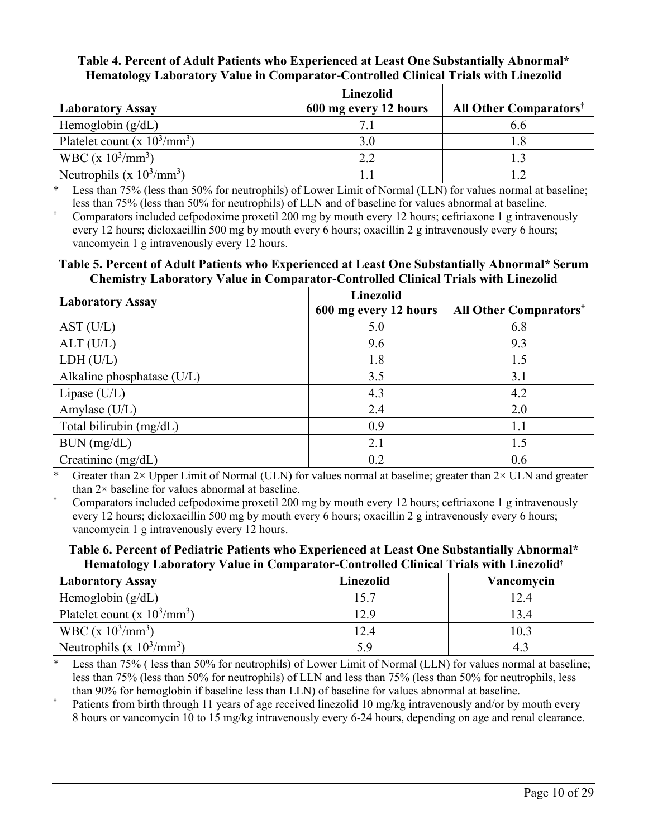#### **Table 4. Percent of Adult Patients who Experienced at Least One Substantially Abnormal\* Hematology Laboratory Value in Comparator-Controlled Clinical Trials with Linezolid**

|                                        | Linezolid             |                                          |
|----------------------------------------|-----------------------|------------------------------------------|
| <b>Laboratory Assay</b>                | 600 mg every 12 hours | <b>All Other Comparators<sup>†</sup></b> |
| Hemoglobin $(g/dL)$                    |                       | 6.6                                      |
| Platelet count (x $10^3/\text{mm}^3$ ) |                       |                                          |
| WBC (x $10^3$ /mm <sup>3</sup> )       | ? ?                   |                                          |
| Neutrophils (x $10^3/\text{mm}^3$ )    |                       |                                          |

Less than 75% (less than 50% for neutrophils) of Lower Limit of Normal (LLN) for values normal at baseline; less than 75% (less than 50% for neutrophils) of LLN and of baseline for values abnormal at baseline.

† Comparators included cefpodoxime proxetil 200 mg by mouth every 12 hours; ceftriaxone 1 g intravenously every 12 hours; dicloxacillin 500 mg by mouth every 6 hours; oxacillin 2 g intravenously every 6 hours; vancomycin 1 g intravenously every 12 hours.

#### **Table 5. Percent of Adult Patients who Experienced at Least One Substantially Abnormal\* Serum Chemistry Laboratory Value in Comparator-Controlled Clinical Trials with Linezolid**

| <b>Laboratory Assay</b>    | <b>Linezolid</b><br>600 mg every 12 hours | All Other Comparators <sup>†</sup> |
|----------------------------|-------------------------------------------|------------------------------------|
| AST (U/L)                  | 5.0                                       | 6.8                                |
| ALT (U/L)                  | 9.6                                       | 9.3                                |
| LDH (U/L)                  | 1.8                                       | 1.5                                |
| Alkaline phosphatase (U/L) | 3.5                                       | 3.1                                |
| Lipase (U/L)               | 4.3                                       | 4.2                                |
| Amylase (U/L)              | 2.4                                       | 2.0                                |
| Total bilirubin (mg/dL)    | 0.9                                       | 1.1                                |
| BUN (mg/dL)                | 2.1                                       | 1.5                                |
| Creatinine $(mg/dL)$       | 0.2                                       | 0.6                                |

Greater than  $2\times$  Upper Limit of Normal (ULN) for values normal at baseline; greater than  $2\times$  ULN and greater than  $2 \times$  baseline for values abnormal at baseline.

† Comparators included cefpodoxime proxetil 200 mg by mouth every 12 hours; ceftriaxone 1 g intravenously every 12 hours; dicloxacillin 500 mg by mouth every 6 hours; oxacillin 2 g intravenously every 6 hours; vancomycin 1 g intravenously every 12 hours.

#### **Table 6. Percent of Pediatric Patients who Experienced at Least One Substantially Abnormal\* Hematology Laboratory Value in Comparator-Controlled Clinical Trials with Linezolid**†

| $\tilde{\phantom{a}}$<br><b>Laboratory Assay</b> | Linezolid | Vancomvcin |
|--------------------------------------------------|-----------|------------|
| Hemoglobin $(g/dL)$                              | 15.7      | 12.4       |
| Platelet count (x $10^3/\text{mm}^3$ )           | 12.9      | 13.4       |
| WBC (x $10^3$ /mm <sup>3</sup> )                 | 12.4      | 10.3       |
| Neutrophils (x $10^3/\text{mm}^3$ )              |           | 4.         |

\* Less than 75% ( less than 50% for neutrophils) of Lower Limit of Normal (LLN) for values normal at baseline; less than 75% (less than 50% for neutrophils) of LLN and less than 75% (less than 50% for neutrophils, less than 90% for hemoglobin if baseline less than LLN) of baseline for values abnormal at baseline.

† Patients from birth through 11 years of age received linezolid 10 mg/kg intravenously and/or by mouth every 8 hours or vancomycin 10 to 15 mg/kg intravenously every 6-24 hours, depending on age and renal clearance.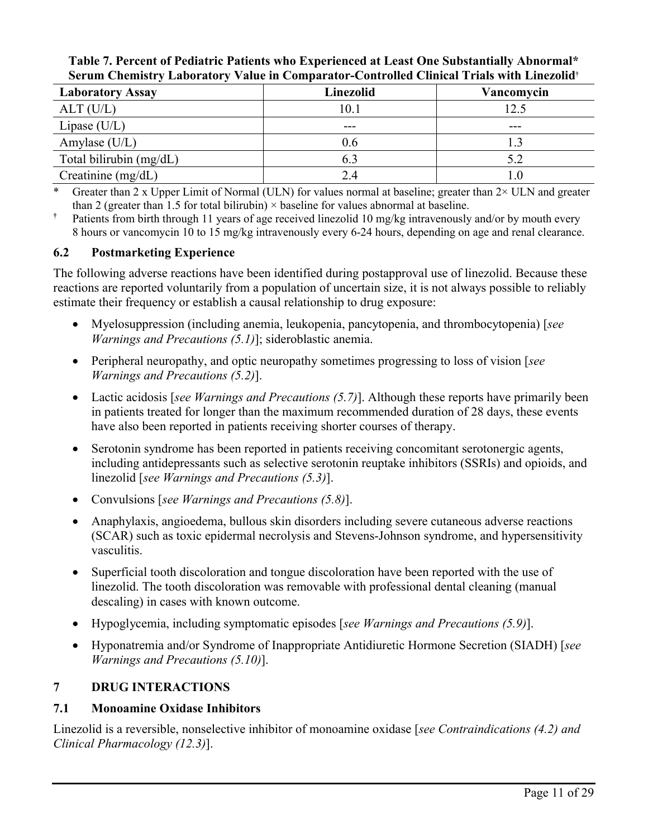#### **Table 7. Percent of Pediatric Patients who Experienced at Least One Substantially Abnormal\* Serum Chemistry Laboratory Value in Comparator-Controlled Clinical Trials with Linezolid†**

| <b>Laboratory Assay</b> | Linezolid | Vancomycin |
|-------------------------|-----------|------------|
| ALT (U/L)               | 10.1      |            |
| Lipase $(U/L)$          | ---       | ---        |
| Amylase (U/L)           | 0.6       |            |
| Total bilirubin (mg/dL) | 6.3       | 5.2        |
| Creatinine (mg/dL)      | 2.4       |            |

\* Greater than 2 x Upper Limit of Normal (ULN) for values normal at baseline; greater than  $2 \times$  ULN and greater than 2 (greater than 1.5 for total bilirubin)  $\times$  baseline for values abnormal at baseline.

**†** Patients from birth through 11 years of age received linezolid 10 mg/kg intravenously and/or by mouth every 8 hours or vancomycin 10 to 15 mg/kg intravenously every 6-24 hours, depending on age and renal clearance.

#### **6.2 Postmarketing Experience**

The following adverse reactions have been identified during postapproval use of linezolid. Because these reactions are reported voluntarily from a population of uncertain size, it is not always possible to reliably estimate their frequency or establish a causal relationship to drug exposure:

- Myelosuppression (including anemia, leukopenia, pancytopenia, and thrombocytopenia) [*see Warnings and Precautions (5.1)*]; sideroblastic anemia.
- Peripheral neuropathy, and optic neuropathy sometimes progressing to loss of vision [*see Warnings and Precautions (5.2)*].
- Lactic acidosis [*see Warnings and Precautions (5.7)*]. Although these reports have primarily been in patients treated for longer than the maximum recommended duration of 28 days, these events have also been reported in patients receiving shorter courses of therapy.
- Serotonin syndrome has been reported in patients receiving concomitant serotonergic agents, including antidepressants such as selective serotonin reuptake inhibitors (SSRIs) and opioids, and linezolid [*see Warnings and Precautions (5.3)*].
- Convulsions [*see Warnings and Precautions (5.8)*].
- Anaphylaxis, angioedema, bullous skin disorders including severe cutaneous adverse reactions (SCAR) such as toxic epidermal necrolysis and Stevens-Johnson syndrome, and hypersensitivity vasculitis.
- Superficial tooth discoloration and tongue discoloration have been reported with the use of linezolid. The tooth discoloration was removable with professional dental cleaning (manual descaling) in cases with known outcome.
- Hypoglycemia, including symptomatic episodes [*see Warnings and Precautions (5.9)*].
- Hyponatremia and/or Syndrome of Inappropriate Antidiuretic Hormone Secretion (SIADH) [*see Warnings and Precautions (5.10)*].

# **7 DRUG INTERACTIONS**

# **7.1 Monoamine Oxidase Inhibitors**

Linezolid is a reversible, nonselective inhibitor of monoamine oxidase [*see Contraindications (4.2) and Clinical Pharmacology (12.3)*].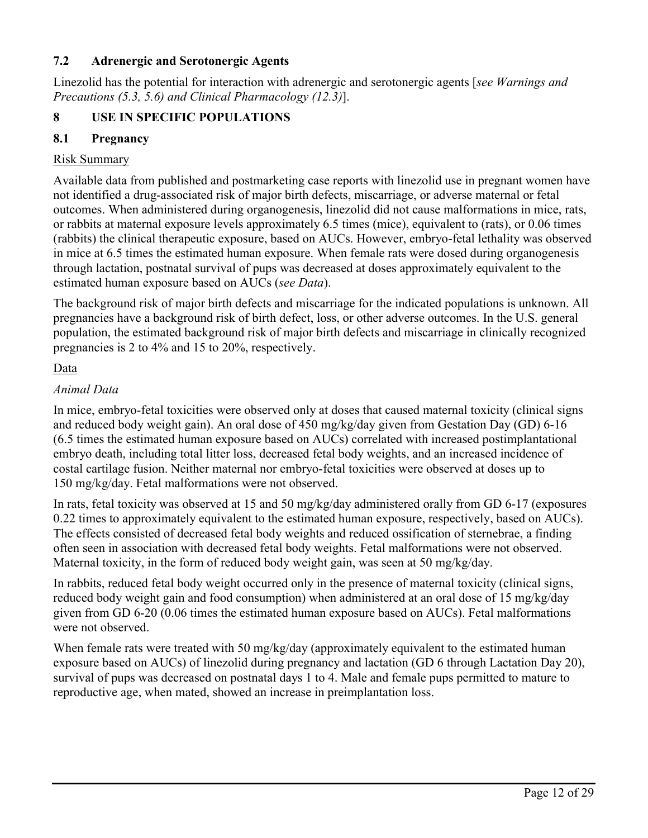# **7.2 Adrenergic and Serotonergic Agents**

Linezolid has the potential for interaction with adrenergic and serotonergic agents [*see Warnings and Precautions (5.3, 5.6) and Clinical Pharmacology (12.3)*].

# **8 USE IN SPECIFIC POPULATIONS**

# **8.1 Pregnancy**

## Risk Summary

Available data from published and postmarketing case reports with linezolid use in pregnant women have not identified a drug-associated risk of major birth defects, miscarriage, or adverse maternal or fetal outcomes. When administered during organogenesis, linezolid did not cause malformations in mice, rats, or rabbits at maternal exposure levels approximately 6.5 times (mice), equivalent to (rats), or 0.06 times (rabbits) the clinical therapeutic exposure, based on AUCs. However, embryo-fetal lethality was observed in mice at 6.5 times the estimated human exposure. When female rats were dosed during organogenesis through lactation, postnatal survival of pups was decreased at doses approximately equivalent to the estimated human exposure based on AUCs (*see Data*).

The background risk of major birth defects and miscarriage for the indicated populations is unknown. All pregnancies have a background risk of birth defect, loss, or other adverse outcomes. In the U.S. general population, the estimated background risk of major birth defects and miscarriage in clinically recognized pregnancies is 2 to 4% and 15 to 20%, respectively.

#### Data

# *Animal Data*

In mice, embryo-fetal toxicities were observed only at doses that caused maternal toxicity (clinical signs and reduced body weight gain). An oral dose of 450 mg/kg/day given from Gestation Day (GD) 6-16 (6.5 times the estimated human exposure based on AUCs) correlated with increased postimplantational embryo death, including total litter loss, decreased fetal body weights, and an increased incidence of costal cartilage fusion. Neither maternal nor embryo-fetal toxicities were observed at doses up to 150 mg/kg/day. Fetal malformations were not observed.

In rats, fetal toxicity was observed at 15 and 50 mg/kg/day administered orally from GD 6-17 (exposures 0.22 times to approximately equivalent to the estimated human exposure, respectively, based on AUCs). The effects consisted of decreased fetal body weights and reduced ossification of sternebrae, a finding often seen in association with decreased fetal body weights. Fetal malformations were not observed. Maternal toxicity, in the form of reduced body weight gain, was seen at 50 mg/kg/day.

In rabbits, reduced fetal body weight occurred only in the presence of maternal toxicity (clinical signs, reduced body weight gain and food consumption) when administered at an oral dose of 15 mg/kg/day given from GD 6-20 (0.06 times the estimated human exposure based on AUCs). Fetal malformations were not observed.

When female rats were treated with 50 mg/kg/day (approximately equivalent to the estimated human exposure based on AUCs) of linezolid during pregnancy and lactation (GD 6 through Lactation Day 20), survival of pups was decreased on postnatal days 1 to 4. Male and female pups permitted to mature to reproductive age, when mated, showed an increase in preimplantation loss.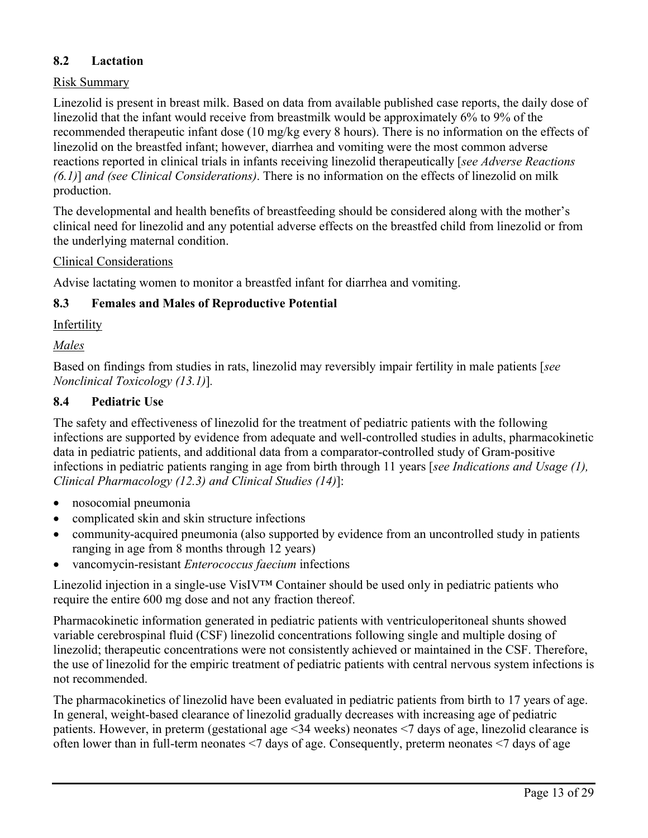# **8.2 Lactation**

#### Risk Summary

Linezolid is present in breast milk. Based on data from available published case reports, the daily dose of linezolid that the infant would receive from breastmilk would be approximately 6% to 9% of the recommended therapeutic infant dose (10 mg/kg every 8 hours). There is no information on the effects of linezolid on the breastfed infant; however, diarrhea and vomiting were the most common adverse reactions reported in clinical trials in infants receiving linezolid therapeutically [*see Adverse Reactions (6.1)*] *and (see Clinical Considerations)*. There is no information on the effects of linezolid on milk production.

The developmental and health benefits of breastfeeding should be considered along with the mother's clinical need for linezolid and any potential adverse effects on the breastfed child from linezolid or from the underlying maternal condition.

#### Clinical Considerations

Advise lactating women to monitor a breastfed infant for diarrhea and vomiting.

#### **8.3 Females and Males of Reproductive Potential**

#### Infertility

#### *Males*

Based on findings from studies in rats, linezolid may reversibly impair fertility in male patients [*see Nonclinical Toxicology (13.1)*]*.*

#### **8.4 Pediatric Use**

The safety and effectiveness of linezolid for the treatment of pediatric patients with the following infections are supported by evidence from adequate and well-controlled studies in adults, pharmacokinetic data in pediatric patients, and additional data from a comparator-controlled study of Gram-positive infections in pediatric patients ranging in age from birth through 11 years [*see Indications and Usage (1), Clinical Pharmacology (12.3) and Clinical Studies (14)*]:

- nosocomial pneumonia
- complicated skin and skin structure infections
- community-acquired pneumonia (also supported by evidence from an uncontrolled study in patients ranging in age from 8 months through 12 years)
- vancomycin-resistant *Enterococcus faecium* infections

Linezolid injection in a single-use VisIV™ Container should be used only in pediatric patients who require the entire 600 mg dose and not any fraction thereof.

Pharmacokinetic information generated in pediatric patients with ventriculoperitoneal shunts showed variable cerebrospinal fluid (CSF) linezolid concentrations following single and multiple dosing of linezolid; therapeutic concentrations were not consistently achieved or maintained in the CSF. Therefore, the use of linezolid for the empiric treatment of pediatric patients with central nervous system infections is not recommended.

The pharmacokinetics of linezolid have been evaluated in pediatric patients from birth to 17 years of age. In general, weight-based clearance of linezolid gradually decreases with increasing age of pediatric patients. However, in preterm (gestational age <34 weeks) neonates <7 days of age, linezolid clearance is often lower than in full-term neonates <7 days of age. Consequently, preterm neonates <7 days of age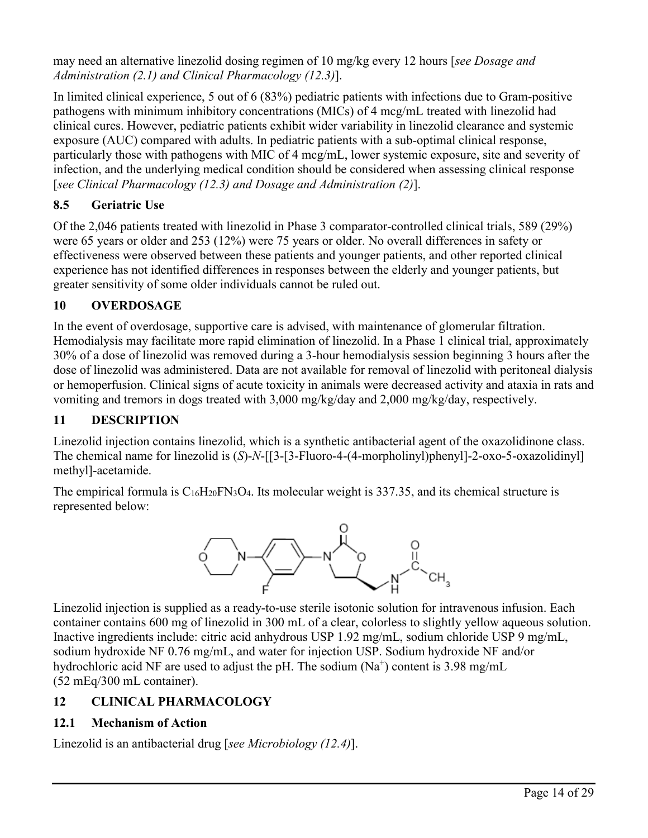may need an alternative linezolid dosing regimen of 10 mg/kg every 12 hours [*see Dosage and Administration (2.1) and Clinical Pharmacology (12.3)*].

In limited clinical experience, 5 out of 6 (83%) pediatric patients with infections due to Gram-positive pathogens with minimum inhibitory concentrations (MICs) of 4 mcg/mL treated with linezolid had clinical cures. However, pediatric patients exhibit wider variability in linezolid clearance and systemic exposure (AUC) compared with adults. In pediatric patients with a sub-optimal clinical response, particularly those with pathogens with MIC of 4 mcg/mL, lower systemic exposure, site and severity of infection, and the underlying medical condition should be considered when assessing clinical response [*see Clinical Pharmacology (12.3) and Dosage and Administration (2)*].

# **8.5 Geriatric Use**

Of the 2,046 patients treated with linezolid in Phase 3 comparator-controlled clinical trials, 589 (29%) were 65 years or older and 253 (12%) were 75 years or older. No overall differences in safety or effectiveness were observed between these patients and younger patients, and other reported clinical experience has not identified differences in responses between the elderly and younger patients, but greater sensitivity of some older individuals cannot be ruled out.

# **10 OVERDOSAGE**

In the event of overdosage, supportive care is advised, with maintenance of glomerular filtration. Hemodialysis may facilitate more rapid elimination of linezolid. In a Phase 1 clinical trial, approximately 30% of a dose of linezolid was removed during a 3-hour hemodialysis session beginning 3 hours after the dose of linezolid was administered. Data are not available for removal of linezolid with peritoneal dialysis or hemoperfusion. Clinical signs of acute toxicity in animals were decreased activity and ataxia in rats and vomiting and tremors in dogs treated with 3,000 mg/kg/day and 2,000 mg/kg/day, respectively.

# **11 DESCRIPTION**

Linezolid injection contains linezolid, which is a synthetic antibacterial agent of the oxazolidinone class. The chemical name for linezolid is (*S*)-*N*-[[3-[3-Fluoro-4-(4-morpholinyl)phenyl]-2-oxo-5-oxazolidinyl] methyl]-acetamide.

The empirical formula is  $C_{16}H_{20}FN_3O_4$ . Its molecular weight is 337.35, and its chemical structure is represented below:



Linezolid injection is supplied as a ready-to-use sterile isotonic solution for intravenous infusion. Each container contains 600 mg of linezolid in 300 mL of a clear, colorless to slightly yellow aqueous solution. Inactive ingredients include: citric acid anhydrous USP 1.92 mg/mL, sodium chloride USP 9 mg/mL, sodium hydroxide NF 0.76 mg/mL, and water for injection USP. Sodium hydroxide NF and/or hydrochloric acid NF are used to adjust the pH. The sodium  $(Na^+)$  content is 3.98 mg/mL (52 mEq/300 mL container).

# **12 CLINICAL PHARMACOLOGY**

# **12.1 Mechanism of Action**

Linezolid is an antibacterial drug [*see Microbiology (12.4)*].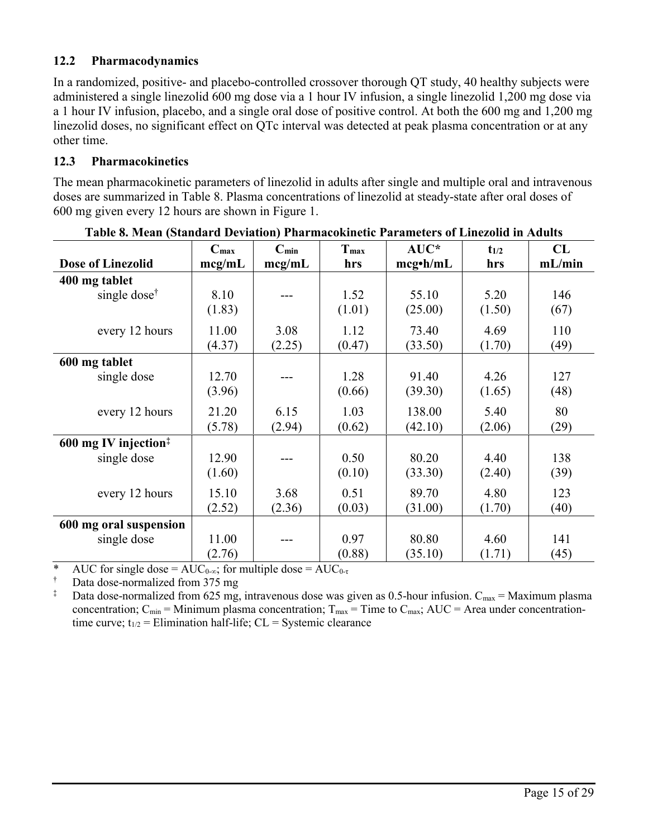# **12.2 Pharmacodynamics**

In a randomized, positive- and placebo-controlled crossover thorough QT study, 40 healthy subjects were administered a single linezolid 600 mg dose via a 1 hour IV infusion, a single linezolid 1,200 mg dose via a 1 hour IV infusion, placebo, and a single oral dose of positive control. At both the 600 mg and 1,200 mg linezolid doses, no significant effect on QTc interval was detected at peak plasma concentration or at any other time.

## **12.3 Pharmacokinetics**

The mean pharmacokinetic parameters of linezolid in adults after single and multiple oral and intravenous doses are summarized in Table 8. Plasma concentrations of linezolid at steady-state after oral doses of 600 mg given every 12 hours are shown in Figure 1.

|                          | $C_{\text{max}}$ | $C_{min}$ | Tmax   | $AUC^*$         | $t_{1/2}$ | CL     |
|--------------------------|------------------|-----------|--------|-----------------|-----------|--------|
| <b>Dose of Linezolid</b> | mcg/mL           | mcg/mL    | hrs    | $mcg\cdot h/mL$ | hrs       | mL/min |
| 400 mg tablet            |                  |           |        |                 |           |        |
| single dose <sup>†</sup> | 8.10             |           | 1.52   | 55.10           | 5.20      | 146    |
|                          | (1.83)           |           | (1.01) | (25.00)         | (1.50)    | (67)   |
| every 12 hours           | 11.00            | 3.08      | 1.12   | 73.40           | 4.69      | 110    |
|                          | (4.37)           | (2.25)    | (0.47) | (33.50)         | (1.70)    | (49)   |
| 600 mg tablet            |                  |           |        |                 |           |        |
| single dose              | 12.70            |           | 1.28   | 91.40           | 4.26      | 127    |
|                          | (3.96)           |           | (0.66) | (39.30)         | (1.65)    | (48)   |
| every 12 hours           | 21.20            | 6.15      | 1.03   | 138.00          | 5.40      | 80     |
|                          | (5.78)           | (2.94)    | (0.62) | (42.10)         | (2.06)    | (29)   |
| 600 mg IV injection $*$  |                  |           |        |                 |           |        |
| single dose              | 12.90            |           | 0.50   | 80.20           | 4.40      | 138    |
|                          | (1.60)           |           | (0.10) | (33.30)         | (2.40)    | (39)   |
| every 12 hours           | 15.10            | 3.68      | 0.51   | 89.70           | 4.80      | 123    |
|                          | (2.52)           | (2.36)    | (0.03) | (31.00)         | (1.70)    | (40)   |
| 600 mg oral suspension   |                  |           |        |                 |           |        |
| single dose              | 11.00            |           | 0.97   | 80.80           | 4.60      | 141    |
|                          | (2.76)           |           | (0.88) | (35.10)         | (1.71)    | (45)   |

**Table 8. Mean (Standard Deviation) Pharmacokinetic Parameters of Linezolid in Adults**

\* AUC for single dose =  $AUC_{0-\infty}$ ; for multiple dose =  $AUC_{0-\tau}$ 

<sup>†</sup> Data dose-normalized from 375 mg<br><sup>‡</sup> Data dose-normalized from 625 mg

Data dose-normalized from 625 mg, intravenous dose was given as 0.5-hour infusion.  $C_{\text{max}} =$  Maximum plasma concentration;  $C_{min}$  = Minimum plasma concentration;  $T_{max}$  = Time to  $C_{max}$ ; AUC = Area under concentrationtime curve;  $t_{1/2}$  = Elimination half-life; CL = Systemic clearance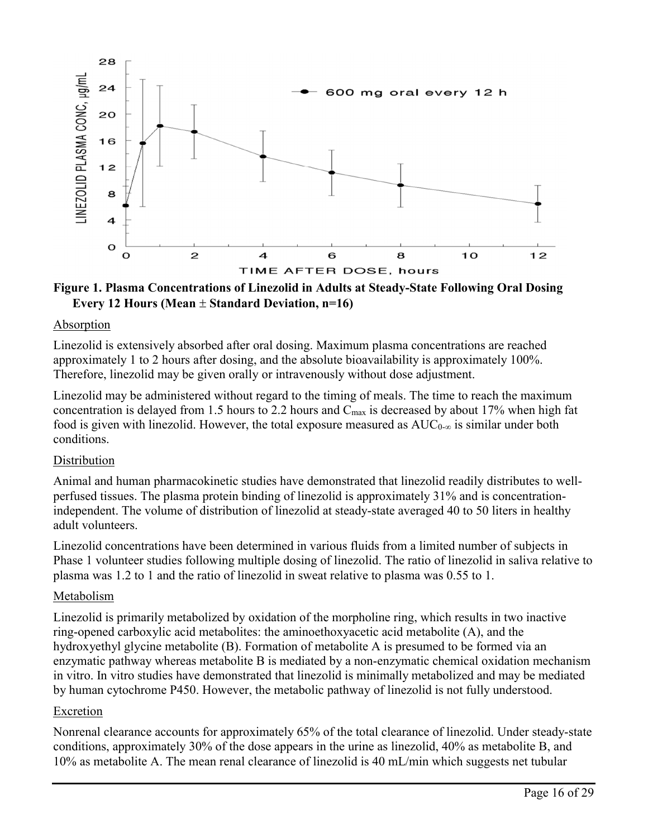

**Figure 1. Plasma Concentrations of Linezolid in Adults at Steady-State Following Oral Dosing**  Every 12 Hours (Mean  $\pm$  Standard Deviation, n=16)

#### Absorption

Linezolid is extensively absorbed after oral dosing. Maximum plasma concentrations are reached approximately 1 to 2 hours after dosing, and the absolute bioavailability is approximately 100%. Therefore, linezolid may be given orally or intravenously without dose adjustment.

Linezolid may be administered without regard to the timing of meals. The time to reach the maximum concentration is delayed from 1.5 hours to 2.2 hours and  $C_{\text{max}}$  is decreased by about 17% when high fat food is given with linezolid. However, the total exposure measured as  $AUC_{0-\infty}$  is similar under both conditions.

#### Distribution

Animal and human pharmacokinetic studies have demonstrated that linezolid readily distributes to wellperfused tissues. The plasma protein binding of linezolid is approximately 31% and is concentrationindependent. The volume of distribution of linezolid at steady-state averaged 40 to 50 liters in healthy adult volunteers.

Linezolid concentrations have been determined in various fluids from a limited number of subjects in Phase 1 volunteer studies following multiple dosing of linezolid. The ratio of linezolid in saliva relative to plasma was 1.2 to 1 and the ratio of linezolid in sweat relative to plasma was 0.55 to 1.

#### Metabolism

Linezolid is primarily metabolized by oxidation of the morpholine ring, which results in two inactive ring-opened carboxylic acid metabolites: the aminoethoxyacetic acid metabolite (A), and the hydroxyethyl glycine metabolite (B). Formation of metabolite A is presumed to be formed via an enzymatic pathway whereas metabolite B is mediated by a non-enzymatic chemical oxidation mechanism in vitro. In vitro studies have demonstrated that linezolid is minimally metabolized and may be mediated by human cytochrome P450. However, the metabolic pathway of linezolid is not fully understood.

#### Excretion

Nonrenal clearance accounts for approximately 65% of the total clearance of linezolid. Under steady-state conditions, approximately 30% of the dose appears in the urine as linezolid, 40% as metabolite B, and 10% as metabolite A. The mean renal clearance of linezolid is 40 mL/min which suggests net tubular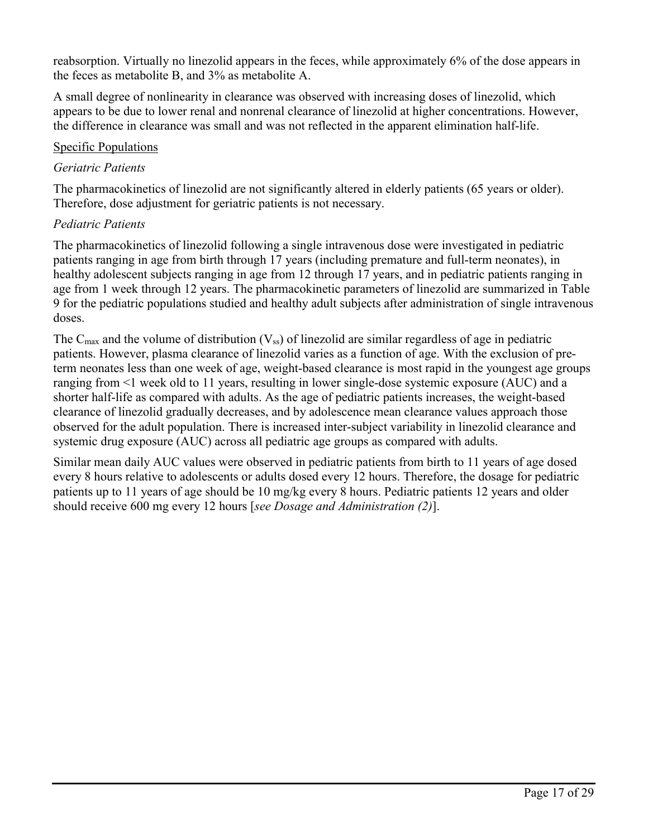reabsorption. Virtually no linezolid appears in the feces, while approximately 6% of the dose appears in the feces as metabolite B, and 3% as metabolite A.

A small degree of nonlinearity in clearance was observed with increasing doses of linezolid, which appears to be due to lower renal and nonrenal clearance of linezolid at higher concentrations. However, the difference in clearance was small and was not reflected in the apparent elimination half-life.

#### Specific Populations

## *Geriatric Patients*

The pharmacokinetics of linezolid are not significantly altered in elderly patients (65 years or older). Therefore, dose adjustment for geriatric patients is not necessary.

# *Pediatric Patients*

The pharmacokinetics of linezolid following a single intravenous dose were investigated in pediatric patients ranging in age from birth through 17 years (including premature and full-term neonates), in healthy adolescent subjects ranging in age from 12 through 17 years, and in pediatric patients ranging in age from 1 week through 12 years. The pharmacokinetic parameters of linezolid are summarized in Table 9 for the pediatric populations studied and healthy adult subjects after administration of single intravenous doses.

The  $C_{\text{max}}$  and the volume of distribution (V<sub>ss</sub>) of linezolid are similar regardless of age in pediatric patients. However, plasma clearance of linezolid varies as a function of age. With the exclusion of preterm neonates less than one week of age, weight-based clearance is most rapid in the youngest age groups ranging from <1 week old to 11 years, resulting in lower single-dose systemic exposure (AUC) and a shorter half-life as compared with adults. As the age of pediatric patients increases, the weight-based clearance of linezolid gradually decreases, and by adolescence mean clearance values approach those observed for the adult population. There is increased inter-subject variability in linezolid clearance and systemic drug exposure (AUC) across all pediatric age groups as compared with adults.

Similar mean daily AUC values were observed in pediatric patients from birth to 11 years of age dosed every 8 hours relative to adolescents or adults dosed every 12 hours. Therefore, the dosage for pediatric patients up to 11 years of age should be 10 mg/kg every 8 hours. Pediatric patients 12 years and older should receive 600 mg every 12 hours [*see Dosage and Administration (2)*].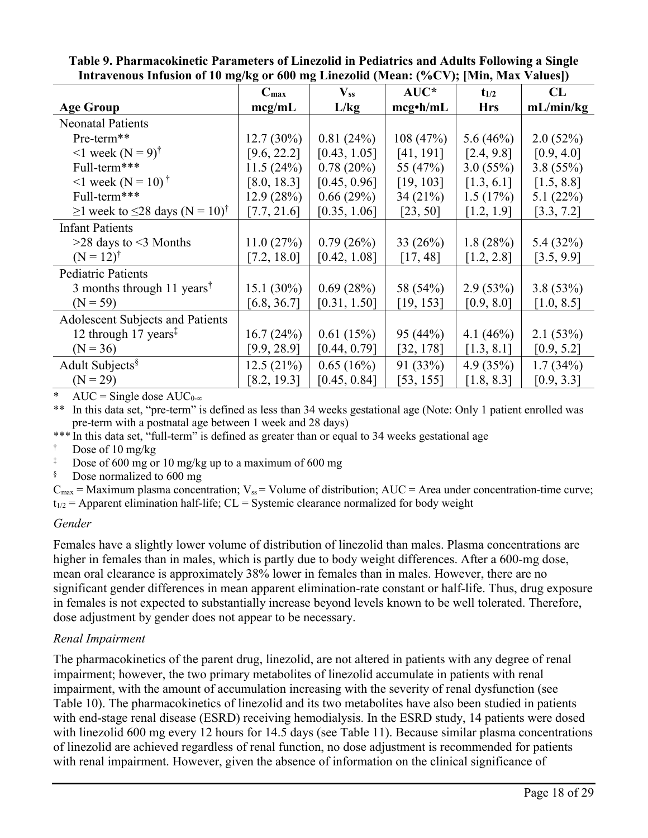|                                                       | $C_{\text{max}}$ | $\mathbf{V}_{ss}$ | $AUC^*$         | $t_{1/2}$   | CL          |
|-------------------------------------------------------|------------------|-------------------|-----------------|-------------|-------------|
| <b>Age Group</b>                                      | mcg/mL           | L/kg              | $mcg\cdot h/mL$ | <b>Hrs</b>  | mL/min/kg   |
| <b>Neonatal Patients</b>                              |                  |                   |                 |             |             |
| Pre-term**                                            | $12.7(30\%)$     | 0.81(24%)         | 108(47%)        | 5.6 $(46%)$ | 2.0(52%)    |
| $1$ week (N = 9) <sup>†</sup>                         | [9.6, 22.2]      | [0.43, 1.05]      | [41, 191]       | [2.4, 9.8]  | [0.9, 4.0]  |
| Full-term***                                          | 11.5(24%)        | 0.78(20%)         | 55 (47%)        | 3.0(55%)    | 3.8(55%)    |
| $1$ week (N = 10) <sup>†</sup>                        | [8.0, 18.3]      | [0.45, 0.96]      | [19, 103]       | [1.3, 6.1]  | [1.5, 8.8]  |
| Full-term***                                          | 12.9(28%)        | 0.66(29%)         | 34(21%)         | 1.5(17%)    | 5.1 $(22%)$ |
| $\geq$ 1 week to $\leq$ 28 days (N = 10) <sup>†</sup> | [7.7, 21.6]      | [0.35, 1.06]      | [23, 50]        | [1.2, 1.9]  | [3.3, 7.2]  |
| <b>Infant Patients</b>                                |                  |                   |                 |             |             |
| $>28$ days to $<$ 3 Months                            | 11.0(27%)        | 0.79(26%)         | 33(26%)         | 1.8(28%)    | 5.4 (32%)   |
| $(N = 12)^{\dagger}$                                  | [7.2, 18.0]      | [0.42, 1.08]      | [17, 48]        | [1.2, 2.8]  | [3.5, 9.9]  |
| Pediatric Patients                                    |                  |                   |                 |             |             |
| 3 months through 11 years <sup>†</sup>                | 15.1 $(30\%)$    | 0.69(28%)         | 58 (54%)        | 2.9(53%)    | 3.8(53%)    |
| $(N = 59)$                                            | [6.8, 36.7]      | [0.31, 1.50]      | [19, 153]       | [0.9, 8.0]  | [1.0, 8.5]  |
| Adolescent Subjects and Patients                      |                  |                   |                 |             |             |
| 12 through 17 years <sup><math>\ddagger</math></sup>  | 16.7(24%)        | 0.61(15%)         | 95(44%)         | 4.1 $(46%)$ | 2.1(53%)    |
| $(N = 36)$                                            | [9.9, 28.9]      | [0.44, 0.79]      | [32, 178]       | [1.3, 8.1]  | [0.9, 5.2]  |
| Adult Subjects $\delta$                               | 12.5(21%)        | 0.65(16%)         | 91 (33%)        | 4.9 $(35%)$ | 1.7(34%)    |
| $(N = 29)$                                            | [8.2, 19.3]      | [0.45, 0.84]      | [53, 155]       | [1.8, 8.3]  | [0.9, 3.3]  |

**Table 9. Pharmacokinetic Parameters of Linezolid in Pediatrics and Adults Following a Single Intravenous Infusion of 10 mg/kg or 600 mg Linezolid (Mean: (%CV); [Min, Max Values])**

AUC = Single dose  $AUC_{0-\infty}$ 

\*\* In this data set, "pre-term" is defined as less than 34 weeks gestational age (Note: Only 1 patient enrolled was pre-term with a postnatal age between 1 week and 28 days)

\*\*\* In this data set, "full-term" is defined as greater than or equal to 34 weeks gestational age

Dose of 10 mg/kg

Dose of 600 mg or 10 mg/kg up to a maximum of 600 mg

§ Dose normalized to 600 mg

 $C_{\text{max}}$  = Maximum plasma concentration;  $V_{\text{ss}}$  = Volume of distribution; AUC = Area under concentration-time curve;  $t_{1/2}$  = Apparent elimination half-life; CL = Systemic clearance normalized for body weight

## *Gender*

Females have a slightly lower volume of distribution of linezolid than males. Plasma concentrations are higher in females than in males, which is partly due to body weight differences. After a 600-mg dose, mean oral clearance is approximately 38% lower in females than in males. However, there are no significant gender differences in mean apparent elimination-rate constant or half-life. Thus, drug exposure in females is not expected to substantially increase beyond levels known to be well tolerated. Therefore, dose adjustment by gender does not appear to be necessary.

#### *Renal Impairment*

The pharmacokinetics of the parent drug, linezolid, are not altered in patients with any degree of renal impairment; however, the two primary metabolites of linezolid accumulate in patients with renal impairment, with the amount of accumulation increasing with the severity of renal dysfunction (see Table 10). The pharmacokinetics of linezolid and its two metabolites have also been studied in patients with end-stage renal disease (ESRD) receiving hemodialysis. In the ESRD study, 14 patients were dosed with linezolid 600 mg every 12 hours for 14.5 days (see Table 11). Because similar plasma concentrations of linezolid are achieved regardless of renal function, no dose adjustment is recommended for patients with renal impairment. However, given the absence of information on the clinical significance of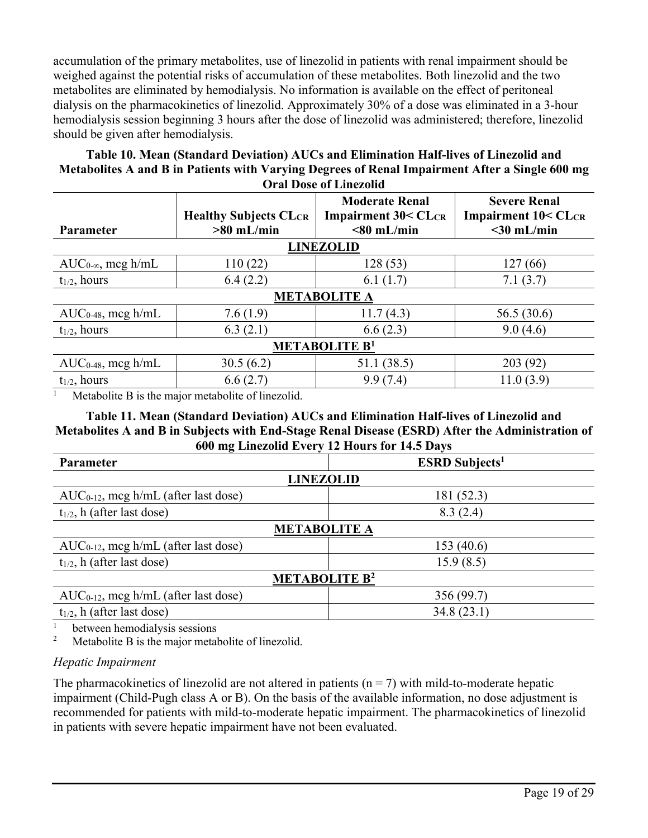accumulation of the primary metabolites, use of linezolid in patients with renal impairment should be weighed against the potential risks of accumulation of these metabolites. Both linezolid and the two metabolites are eliminated by hemodialysis. No information is available on the effect of peritoneal dialysis on the pharmacokinetics of linezolid. Approximately 30% of a dose was eliminated in a 3-hour hemodialysis session beginning 3 hours after the dose of linezolid was administered; therefore, linezolid should be given after hemodialysis.

#### **Table 10. Mean (Standard Deviation) AUCs and Elimination Half-lives of Linezolid and Metabolites A and B in Patients with Varying Degrees of Renal Impairment After a Single 600 mg Oral Dose of Linezolid**

| <b>Parameter</b>                | <b>Healthy Subjects CLCR</b><br>$>80$ mL/min | <b>Moderate Renal</b><br><b>Impairment 30&lt; CLCR</b><br>$< 80$ mL/min | <b>Severe Renal</b><br><b>Impairment 10&lt; CLCR</b><br>$<$ 30 mL/min |  |  |
|---------------------------------|----------------------------------------------|-------------------------------------------------------------------------|-----------------------------------------------------------------------|--|--|
|                                 |                                              |                                                                         |                                                                       |  |  |
|                                 |                                              | <b>LINEZOLID</b>                                                        |                                                                       |  |  |
| $AUC_{0-\infty}$ , mcg h/mL     | 110(22)                                      | 128 (53)                                                                | 127(66)                                                               |  |  |
| $t_{1/2}$ , hours               | 6.4(2.2)                                     | 6.1(1.7)                                                                | 7.1(3.7)                                                              |  |  |
| <b>METABOLITE A</b>             |                                              |                                                                         |                                                                       |  |  |
| $AUC_{0-48}$ , mcg h/mL         | 7.6(1.9)                                     | 11.7(4.3)                                                               | 56.5 (30.6)                                                           |  |  |
| $t_{1/2}$ , hours               | 6.3(2.1)                                     | 6.6(2.3)                                                                | 9.0(4.6)                                                              |  |  |
| <b>METABOLITE B<sup>1</sup></b> |                                              |                                                                         |                                                                       |  |  |
| $AUC_{0-48}$ , mcg h/mL         | 30.5(6.2)                                    | 51.1 (38.5)                                                             | 203 (92)                                                              |  |  |
| $t_{1/2}$ , hours               | 6.6(2.7)                                     | 9.9(7.4)                                                                | 11.0(3.9)                                                             |  |  |

<sup>1</sup> Metabolite B is the major metabolite of linezolid.

**Table 11. Mean (Standard Deviation) AUCs and Elimination Half-lives of Linezolid and Metabolites A and B in Subjects with End-Stage Renal Disease (ESRD) After the Administration of 600 mg Linezolid Every 12 Hours for 14.5 Days**

| $\frac{1}{2}$ $\frac{1}{2}$ $\frac{1}{2}$ $\frac{1}{2}$ $\frac{1}{2}$ $\frac{1}{2}$ $\frac{1}{2}$ $\frac{1}{2}$ $\frac{1}{2}$ $\frac{1}{2}$ $\frac{1}{2}$ $\frac{1}{2}$ $\frac{1}{2}$ $\frac{1}{2}$ $\frac{1}{2}$ $\frac{1}{2}$ $\frac{1}{2}$ $\frac{1}{2}$ $\frac{1}{2}$ $\frac{1}{2}$ $\frac{1}{2}$ $\frac{1}{2}$ |                                   |  |  |  |  |
|---------------------------------------------------------------------------------------------------------------------------------------------------------------------------------------------------------------------------------------------------------------------------------------------------------------------|-----------------------------------|--|--|--|--|
| Parameter                                                                                                                                                                                                                                                                                                           | <b>ESRD</b> Subjects <sup>1</sup> |  |  |  |  |
| <b>LINEZOLID</b>                                                                                                                                                                                                                                                                                                    |                                   |  |  |  |  |
| $AUC_{0-12}$ , mcg h/mL (after last dose)                                                                                                                                                                                                                                                                           | 181 (52.3)                        |  |  |  |  |
| $t_{1/2}$ , h (after last dose)                                                                                                                                                                                                                                                                                     | 8.3(2.4)                          |  |  |  |  |
| <b>METABOLITE A</b>                                                                                                                                                                                                                                                                                                 |                                   |  |  |  |  |
| $AUC_{0-12}$ , mcg h/mL (after last dose)                                                                                                                                                                                                                                                                           | 153(40.6)                         |  |  |  |  |
| $t_{1/2}$ , h (after last dose)                                                                                                                                                                                                                                                                                     | 15.9(8.5)                         |  |  |  |  |
| <b>METABOLITE B<sup>2</sup></b>                                                                                                                                                                                                                                                                                     |                                   |  |  |  |  |
| $AUC_{0-12}$ , mcg h/mL (after last dose)                                                                                                                                                                                                                                                                           | 356 (99.7)                        |  |  |  |  |
| $t_{1/2}$ , h (after last dose)                                                                                                                                                                                                                                                                                     | 34.8(23.1)                        |  |  |  |  |

<sup>1</sup> between hemodialysis sessions<sup>2</sup> Metabolite B is the major metal

Metabolite B is the major metabolite of linezolid.

# *Hepatic Impairment*

The pharmacokinetics of linezolid are not altered in patients  $(n = 7)$  with mild-to-moderate hepatic impairment (Child-Pugh class A or B). On the basis of the available information, no dose adjustment is recommended for patients with mild-to-moderate hepatic impairment. The pharmacokinetics of linezolid in patients with severe hepatic impairment have not been evaluated.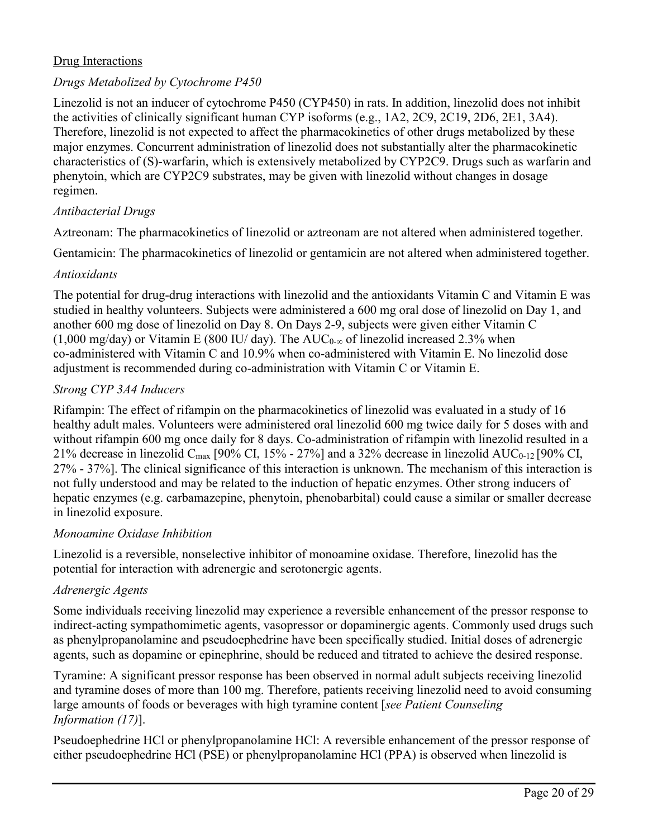## Drug Interactions

## *Drugs Metabolized by Cytochrome P450*

Linezolid is not an inducer of cytochrome P450 (CYP450) in rats. In addition, linezolid does not inhibit the activities of clinically significant human CYP isoforms (e.g., 1A2, 2C9, 2C19, 2D6, 2E1, 3A4). Therefore, linezolid is not expected to affect the pharmacokinetics of other drugs metabolized by these major enzymes. Concurrent administration of linezolid does not substantially alter the pharmacokinetic characteristics of (S)-warfarin, which is extensively metabolized by CYP2C9. Drugs such as warfarin and phenytoin, which are CYP2C9 substrates, may be given with linezolid without changes in dosage regimen.

#### *Antibacterial Drugs*

Aztreonam: The pharmacokinetics of linezolid or aztreonam are not altered when administered together.

Gentamicin: The pharmacokinetics of linezolid or gentamicin are not altered when administered together.

#### *Antioxidants*

The potential for drug-drug interactions with linezolid and the antioxidants Vitamin C and Vitamin E was studied in healthy volunteers. Subjects were administered a 600 mg oral dose of linezolid on Day 1, and another 600 mg dose of linezolid on Day 8. On Days 2-9, subjects were given either Vitamin C  $(1,000 \text{ mg/day})$  or Vitamin E (800 IU/ day). The AUC<sub>0-∞</sub> of linezolid increased 2.3% when co-administered with Vitamin C and 10.9% when co-administered with Vitamin E. No linezolid dose adjustment is recommended during co-administration with Vitamin C or Vitamin E.

#### *Strong CYP 3A4 Inducers*

Rifampin: The effect of rifampin on the pharmacokinetics of linezolid was evaluated in a study of 16 healthy adult males. Volunteers were administered oral linezolid 600 mg twice daily for 5 doses with and without rifampin 600 mg once daily for 8 days. Co-administration of rifampin with linezolid resulted in a 21% decrease in linezolid C<sub>max</sub> [90% CI, 15% - 27%] and a 32% decrease in linezolid AUC<sub>0-12</sub> [90% CI, 27% - 37%]. The clinical significance of this interaction is unknown. The mechanism of this interaction is not fully understood and may be related to the induction of hepatic enzymes. Other strong inducers of hepatic enzymes (e.g. carbamazepine, phenytoin, phenobarbital) could cause a similar or smaller decrease in linezolid exposure.

#### *Monoamine Oxidase Inhibition*

Linezolid is a reversible, nonselective inhibitor of monoamine oxidase. Therefore, linezolid has the potential for interaction with adrenergic and serotonergic agents.

#### *Adrenergic Agents*

Some individuals receiving linezolid may experience a reversible enhancement of the pressor response to indirect-acting sympathomimetic agents, vasopressor or dopaminergic agents. Commonly used drugs such as phenylpropanolamine and pseudoephedrine have been specifically studied. Initial doses of adrenergic agents, such as dopamine or epinephrine, should be reduced and titrated to achieve the desired response.

Tyramine: A significant pressor response has been observed in normal adult subjects receiving linezolid and tyramine doses of more than 100 mg. Therefore, patients receiving linezolid need to avoid consuming large amounts of foods or beverages with high tyramine content [*see Patient Counseling Information (17)*].

Pseudoephedrine HCl or phenylpropanolamine HCl: A reversible enhancement of the pressor response of either pseudoephedrine HCl (PSE) or phenylpropanolamine HCl (PPA) is observed when linezolid is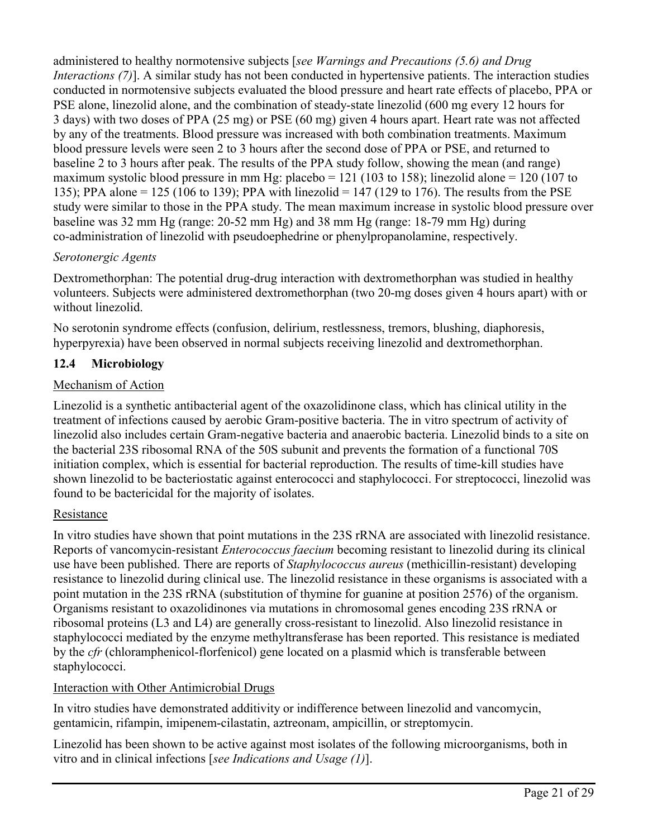administered to healthy normotensive subjects [*see Warnings and Precautions (5.6) and Drug Interactions (7)*]. A similar study has not been conducted in hypertensive patients. The interaction studies conducted in normotensive subjects evaluated the blood pressure and heart rate effects of placebo, PPA or PSE alone, linezolid alone, and the combination of steady-state linezolid (600 mg every 12 hours for 3 days) with two doses of PPA (25 mg) or PSE (60 mg) given 4 hours apart. Heart rate was not affected by any of the treatments. Blood pressure was increased with both combination treatments. Maximum blood pressure levels were seen 2 to 3 hours after the second dose of PPA or PSE, and returned to baseline 2 to 3 hours after peak. The results of the PPA study follow, showing the mean (and range) maximum systolic blood pressure in mm Hg: placebo = 121 (103 to 158); linezolid alone = 120 (107 to 135); PPA alone = 125 (106 to 139); PPA with linezolid = 147 (129 to 176). The results from the PSE study were similar to those in the PPA study. The mean maximum increase in systolic blood pressure over baseline was 32 mm Hg (range: 20-52 mm Hg) and 38 mm Hg (range: 18-79 mm Hg) during co-administration of linezolid with pseudoephedrine or phenylpropanolamine, respectively.

# *Serotonergic Agents*

Dextromethorphan: The potential drug-drug interaction with dextromethorphan was studied in healthy volunteers. Subjects were administered dextromethorphan (two 20-mg doses given 4 hours apart) with or without linezolid.

No serotonin syndrome effects (confusion, delirium, restlessness, tremors, blushing, diaphoresis, hyperpyrexia) have been observed in normal subjects receiving linezolid and dextromethorphan.

# **12.4 Microbiology**

# Mechanism of Action

Linezolid is a synthetic antibacterial agent of the oxazolidinone class, which has clinical utility in the treatment of infections caused by aerobic Gram-positive bacteria. The in vitro spectrum of activity of linezolid also includes certain Gram-negative bacteria and anaerobic bacteria. Linezolid binds to a site on the bacterial 23S ribosomal RNA of the 50S subunit and prevents the formation of a functional 70S initiation complex, which is essential for bacterial reproduction. The results of time-kill studies have shown linezolid to be bacteriostatic against enterococci and staphylococci. For streptococci, linezolid was found to be bactericidal for the majority of isolates.

# Resistance

In vitro studies have shown that point mutations in the 23S rRNA are associated with linezolid resistance. Reports of vancomycin-resistant *Enterococcus faecium* becoming resistant to linezolid during its clinical use have been published. There are reports of *Staphylococcus aureus* (methicillin-resistant) developing resistance to linezolid during clinical use. The linezolid resistance in these organisms is associated with a point mutation in the 23S rRNA (substitution of thymine for guanine at position 2576) of the organism. Organisms resistant to oxazolidinones via mutations in chromosomal genes encoding 23S rRNA or ribosomal proteins (L3 and L4) are generally cross-resistant to linezolid. Also linezolid resistance in staphylococci mediated by the enzyme methyltransferase has been reported. This resistance is mediated by the *cfr* (chloramphenicol-florfenicol) gene located on a plasmid which is transferable between staphylococci.

# Interaction with Other Antimicrobial Drugs

In vitro studies have demonstrated additivity or indifference between linezolid and vancomycin, gentamicin, rifampin, imipenem-cilastatin, aztreonam, ampicillin, or streptomycin.

Linezolid has been shown to be active against most isolates of the following microorganisms, both in vitro and in clinical infections [*see Indications and Usage (1)*].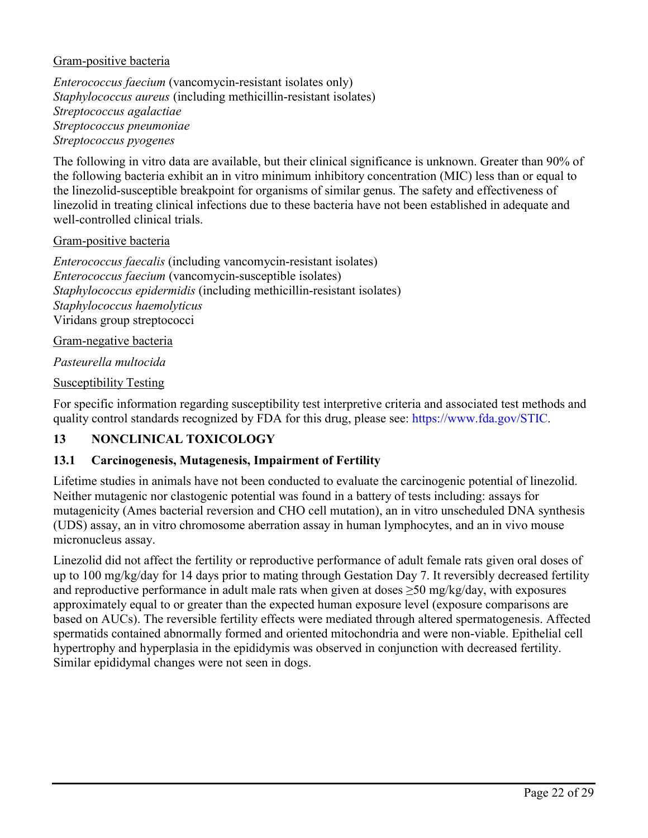#### Gram-positive bacteria

*Enterococcus faecium* (vancomycin-resistant isolates only) *Staphylococcus aureus* (including methicillin-resistant isolates) *Streptococcus agalactiae Streptococcus pneumoniae Streptococcus pyogenes* 

The following in vitro data are available, but their clinical significance is unknown. Greater than 90% of the following bacteria exhibit an in vitro minimum inhibitory concentration (MIC) less than or equal to the linezolid-susceptible breakpoint for organisms of similar genus. The safety and effectiveness of linezolid in treating clinical infections due to these bacteria have not been established in adequate and well-controlled clinical trials.

#### Gram-positive bacteria

*Enterococcus faecalis* (including vancomycin-resistant isolates) *Enterococcus faecium* (vancomycin-susceptible isolates) *Staphylococcus epidermidis* (including methicillin-resistant isolates) *Staphylococcus haemolyticus*  Viridans group streptococci

#### Gram-negative bacteria

#### *Pasteurella multocida*

#### Susceptibility Testing

For specific information regarding susceptibility test interpretive criteria and associated test methods and quality control standards recognized by FDA for this drug, please see: [https://www.fda.gov/STIC.](https://www.fda.gov/STIC)

#### **13 NONCLINICAL TOXICOLOGY**

#### **13.1 Carcinogenesis, Mutagenesis, Impairment of Fertility**

Lifetime studies in animals have not been conducted to evaluate the carcinogenic potential of linezolid. Neither mutagenic nor clastogenic potential was found in a battery of tests including: assays for mutagenicity (Ames bacterial reversion and CHO cell mutation), an in vitro unscheduled DNA synthesis (UDS) assay, an in vitro chromosome aberration assay in human lymphocytes, and an in vivo mouse micronucleus assay.

Linezolid did not affect the fertility or reproductive performance of adult female rats given oral doses of up to 100 mg/kg/day for 14 days prior to mating through Gestation Day 7. It reversibly decreased fertility and reproductive performance in adult male rats when given at doses  $\geq$ 50 mg/kg/day, with exposures approximately equal to or greater than the expected human exposure level (exposure comparisons are based on AUCs). The reversible fertility effects were mediated through altered spermatogenesis. Affected spermatids contained abnormally formed and oriented mitochondria and were non-viable. Epithelial cell hypertrophy and hyperplasia in the epididymis was observed in conjunction with decreased fertility. Similar epididymal changes were not seen in dogs.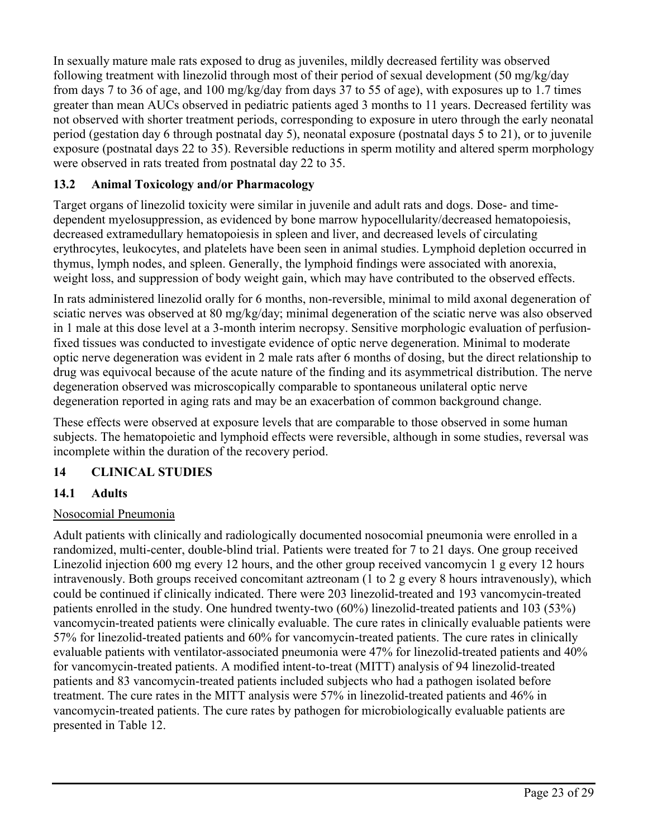In sexually mature male rats exposed to drug as juveniles, mildly decreased fertility was observed following treatment with linezolid through most of their period of sexual development (50 mg/kg/day from days 7 to 36 of age, and 100 mg/kg/day from days 37 to 55 of age), with exposures up to 1.7 times greater than mean AUCs observed in pediatric patients aged 3 months to 11 years. Decreased fertility was not observed with shorter treatment periods, corresponding to exposure in utero through the early neonatal period (gestation day 6 through postnatal day 5), neonatal exposure (postnatal days 5 to 21), or to juvenile exposure (postnatal days 22 to 35). Reversible reductions in sperm motility and altered sperm morphology were observed in rats treated from postnatal day 22 to 35.

# **13.2 Animal Toxicology and/or Pharmacology**

Target organs of linezolid toxicity were similar in juvenile and adult rats and dogs. Dose- and timedependent myelosuppression, as evidenced by bone marrow hypocellularity/decreased hematopoiesis, decreased extramedullary hematopoiesis in spleen and liver, and decreased levels of circulating erythrocytes, leukocytes, and platelets have been seen in animal studies. Lymphoid depletion occurred in thymus, lymph nodes, and spleen. Generally, the lymphoid findings were associated with anorexia, weight loss, and suppression of body weight gain, which may have contributed to the observed effects.

In rats administered linezolid orally for 6 months, non-reversible, minimal to mild axonal degeneration of sciatic nerves was observed at 80 mg/kg/day; minimal degeneration of the sciatic nerve was also observed in 1 male at this dose level at a 3-month interim necropsy. Sensitive morphologic evaluation of perfusionfixed tissues was conducted to investigate evidence of optic nerve degeneration. Minimal to moderate optic nerve degeneration was evident in 2 male rats after 6 months of dosing, but the direct relationship to drug was equivocal because of the acute nature of the finding and its asymmetrical distribution. The nerve degeneration observed was microscopically comparable to spontaneous unilateral optic nerve degeneration reported in aging rats and may be an exacerbation of common background change.

These effects were observed at exposure levels that are comparable to those observed in some human subjects. The hematopoietic and lymphoid effects were reversible, although in some studies, reversal was incomplete within the duration of the recovery period.

# **14 CLINICAL STUDIES**

# **14.1 Adults**

# Nosocomial Pneumonia

Adult patients with clinically and radiologically documented nosocomial pneumonia were enrolled in a randomized, multi-center, double-blind trial. Patients were treated for 7 to 21 days. One group received Linezolid injection 600 mg every 12 hours, and the other group received vancomycin 1 g every 12 hours intravenously. Both groups received concomitant aztreonam (1 to 2 g every 8 hours intravenously), which could be continued if clinically indicated. There were 203 linezolid-treated and 193 vancomycin-treated patients enrolled in the study. One hundred twenty-two (60%) linezolid-treated patients and 103 (53%) vancomycin-treated patients were clinically evaluable. The cure rates in clinically evaluable patients were 57% for linezolid-treated patients and 60% for vancomycin-treated patients. The cure rates in clinically evaluable patients with ventilator-associated pneumonia were 47% for linezolid-treated patients and 40% for vancomycin-treated patients. A modified intent-to-treat (MITT) analysis of 94 linezolid-treated patients and 83 vancomycin-treated patients included subjects who had a pathogen isolated before treatment. The cure rates in the MITT analysis were 57% in linezolid-treated patients and 46% in vancomycin-treated patients. The cure rates by pathogen for microbiologically evaluable patients are presented in Table 12.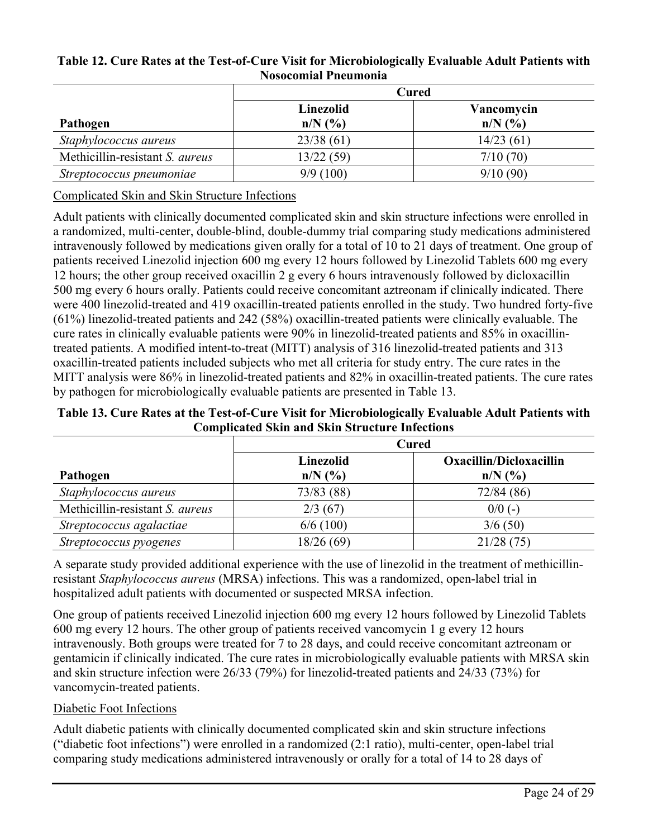|                                 | Cured                   |             |  |
|---------------------------------|-------------------------|-------------|--|
|                                 | Linezolid<br>Vancomycin |             |  |
| Pathogen                        | $n/N$ (%)               | $n/N$ $(\%$ |  |
| Staphylococcus aureus           | 23/38(61)               | 14/23(61)   |  |
| Methicillin-resistant S. aureus | 13/22(59)               | 7/10(70)    |  |
| Streptococcus pneumoniae        | 9/9(100)                | 9/10(90)    |  |

#### **Table 12. Cure Rates at the Test-of-Cure Visit for Microbiologically Evaluable Adult Patients with Nosocomial Pneumonia**

Complicated Skin and Skin Structure Infections

Adult patients with clinically documented complicated skin and skin structure infections were enrolled in a randomized, multi-center, double-blind, double-dummy trial comparing study medications administered intravenously followed by medications given orally for a total of 10 to 21 days of treatment. One group of patients received Linezolid injection 600 mg every 12 hours followed by Linezolid Tablets 600 mg every 12 hours; the other group received oxacillin 2 g every 6 hours intravenously followed by dicloxacillin 500 mg every 6 hours orally. Patients could receive concomitant aztreonam if clinically indicated. There were 400 linezolid-treated and 419 oxacillin-treated patients enrolled in the study. Two hundred forty-five (61%) linezolid-treated patients and 242 (58%) oxacillin-treated patients were clinically evaluable. The cure rates in clinically evaluable patients were 90% in linezolid-treated patients and 85% in oxacillintreated patients. A modified intent-to-treat (MITT) analysis of 316 linezolid-treated patients and 313 oxacillin-treated patients included subjects who met all criteria for study entry. The cure rates in the MITT analysis were 86% in linezolid-treated patients and 82% in oxacillin-treated patients. The cure rates by pathogen for microbiologically evaluable patients are presented in Table 13.

**Table 13. Cure Rates at the Test-of-Cure Visit for Microbiologically Evaluable Adult Patients with Complicated Skin and Skin Structure Infections**

|                                 | <b>Cured</b>           |                                             |  |
|---------------------------------|------------------------|---------------------------------------------|--|
| Pathogen                        | Linezolid<br>$n/N$ (%) | <b>Oxacillin/Dicloxacillin</b><br>$n/N$ (%) |  |
| Staphylococcus aureus           | 73/83 (88)             | 72/84(86)                                   |  |
| Methicillin-resistant S. aureus | 2/3(67)                | $0/0$ (-)                                   |  |
| Streptococcus agalactiae        | 6/6(100)               | 3/6(50)                                     |  |
| Streptococcus pyogenes          | 18/26 (69)             | 21/28(75)                                   |  |

A separate study provided additional experience with the use of linezolid in the treatment of methicillinresistant *Staphylococcus aureus* (MRSA) infections. This was a randomized, open-label trial in hospitalized adult patients with documented or suspected MRSA infection.

One group of patients received Linezolid injection 600 mg every 12 hours followed by Linezolid Tablets 600 mg every 12 hours. The other group of patients received vancomycin 1 g every 12 hours intravenously. Both groups were treated for 7 to 28 days, and could receive concomitant aztreonam or gentamicin if clinically indicated. The cure rates in microbiologically evaluable patients with MRSA skin and skin structure infection were 26/33 (79%) for linezolid-treated patients and 24/33 (73%) for vancomycin-treated patients.

# Diabetic Foot Infections

Adult diabetic patients with clinically documented complicated skin and skin structure infections ("diabetic foot infections") were enrolled in a randomized (2:1 ratio), multi-center, open-label trial comparing study medications administered intravenously or orally for a total of 14 to 28 days of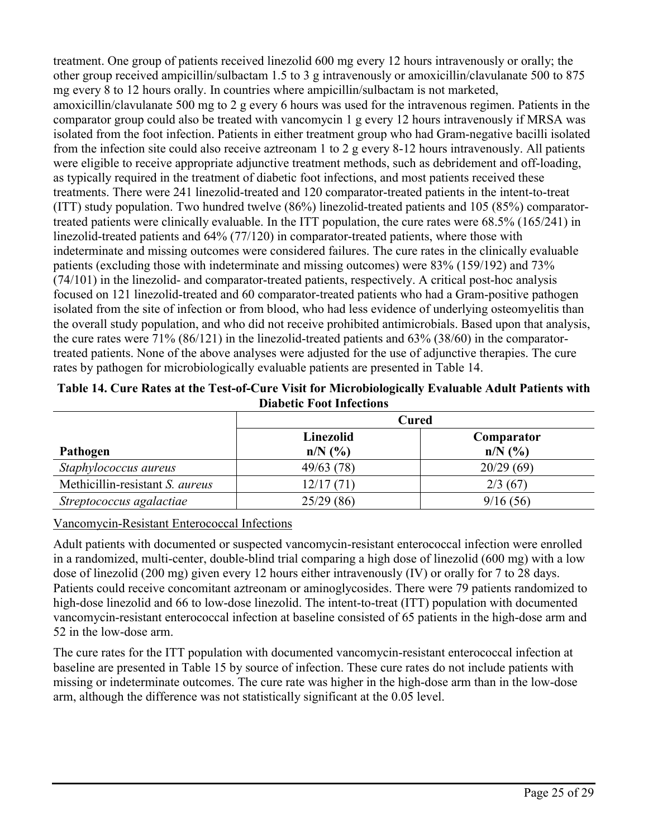treatment. One group of patients received linezolid 600 mg every 12 hours intravenously or orally; the other group received ampicillin/sulbactam 1.5 to 3 g intravenously or amoxicillin/clavulanate 500 to 875 mg every 8 to 12 hours orally. In countries where ampicillin/sulbactam is not marketed, amoxicillin/clavulanate 500 mg to 2 g every 6 hours was used for the intravenous regimen. Patients in the comparator group could also be treated with vancomycin 1 g every 12 hours intravenously if MRSA was isolated from the foot infection. Patients in either treatment group who had Gram-negative bacilli isolated from the infection site could also receive aztreonam 1 to 2 g every 8-12 hours intravenously. All patients were eligible to receive appropriate adjunctive treatment methods, such as debridement and off-loading, as typically required in the treatment of diabetic foot infections, and most patients received these treatments. There were 241 linezolid-treated and 120 comparator-treated patients in the intent-to-treat (ITT) study population. Two hundred twelve (86%) linezolid-treated patients and 105 (85%) comparatortreated patients were clinically evaluable. In the ITT population, the cure rates were 68.5% (165/241) in linezolid-treated patients and 64% (77/120) in comparator-treated patients, where those with indeterminate and missing outcomes were considered failures. The cure rates in the clinically evaluable patients (excluding those with indeterminate and missing outcomes) were 83% (159/192) and 73% (74/101) in the linezolid- and comparator-treated patients, respectively. A critical post-hoc analysis focused on 121 linezolid-treated and 60 comparator-treated patients who had a Gram-positive pathogen isolated from the site of infection or from blood, who had less evidence of underlying osteomyelitis than the overall study population, and who did not receive prohibited antimicrobials. Based upon that analysis, the cure rates were 71% (86/121) in the linezolid-treated patients and 63% (38/60) in the comparatortreated patients. None of the above analyses were adjusted for the use of adjunctive therapies. The cure rates by pathogen for microbiologically evaluable patients are presented in Table 14.

|                                 | <b>Cured</b> |             |  |
|---------------------------------|--------------|-------------|--|
|                                 | Linezolid    | Comparator  |  |
| Pathogen                        | $n/N$ (%)    | $n/N$ $(\%$ |  |
| Staphylococcus aureus           | 49/63(78)    | 20/29(69)   |  |
| Methicillin-resistant S. aureus | 12/17(71)    | 2/3(67)     |  |
| Streptococcus agalactiae        | 25/29(86)    | 9/16(56)    |  |

**Table 14. Cure Rates at the Test-of-Cure Visit for Microbiologically Evaluable Adult Patients with Diabetic Foot Infections**

Vancomycin-Resistant Enterococcal Infections

Adult patients with documented or suspected vancomycin-resistant enterococcal infection were enrolled in a randomized, multi-center, double-blind trial comparing a high dose of linezolid (600 mg) with a low dose of linezolid (200 mg) given every 12 hours either intravenously (IV) or orally for 7 to 28 days. Patients could receive concomitant aztreonam or aminoglycosides. There were 79 patients randomized to high-dose linezolid and 66 to low-dose linezolid. The intent-to-treat (ITT) population with documented vancomycin-resistant enterococcal infection at baseline consisted of 65 patients in the high-dose arm and 52 in the low-dose arm.

The cure rates for the ITT population with documented vancomycin-resistant enterococcal infection at baseline are presented in Table 15 by source of infection. These cure rates do not include patients with missing or indeterminate outcomes. The cure rate was higher in the high-dose arm than in the low-dose arm, although the difference was not statistically significant at the 0.05 level.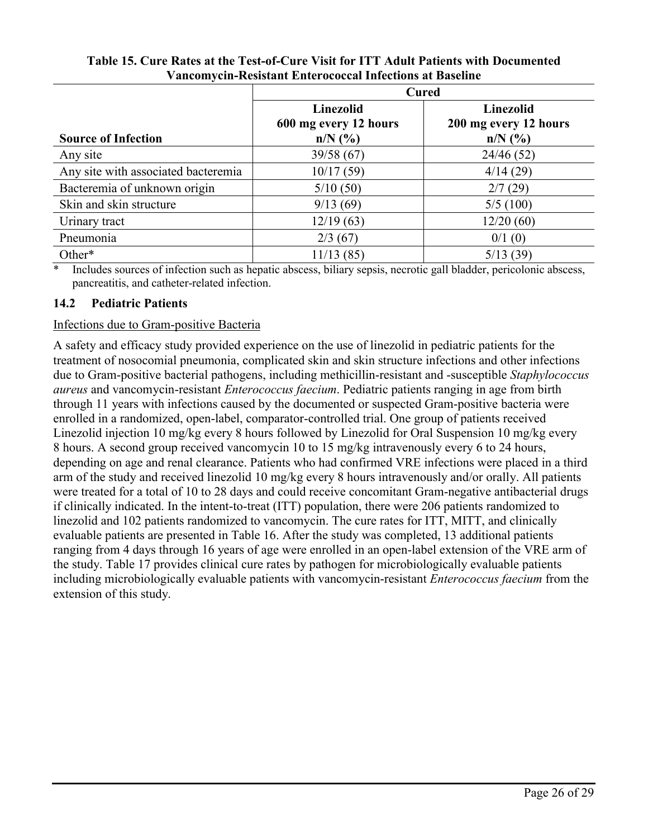|                                     | <b>Cured</b>                                           |                                                        |  |
|-------------------------------------|--------------------------------------------------------|--------------------------------------------------------|--|
| <b>Source of Infection</b>          | <b>Linezolid</b><br>600 mg every 12 hours<br>$n/N$ (%) | <b>Linezolid</b><br>200 mg every 12 hours<br>$n/N$ (%) |  |
| Any site                            | 39/58(67)                                              | 24/46 (52)                                             |  |
| Any site with associated bacteremia | 10/17(59)                                              | 4/14(29)                                               |  |
| Bacteremia of unknown origin        | 5/10(50)                                               | 2/7(29)                                                |  |
| Skin and skin structure             | 9/13(69)                                               | 5/5(100)                                               |  |
| Urinary tract                       | 12/19(63)                                              | 12/20(60)                                              |  |
| Pneumonia                           | 2/3(67)                                                | 0/1(0)                                                 |  |
| Other*                              | 11/13(85)                                              | 5/13(39)                                               |  |

#### **Table 15. Cure Rates at the Test-of-Cure Visit for ITT Adult Patients with Documented Vancomycin-Resistant Enterococcal Infections at Baseline**

\* Includes sources of infection such as hepatic abscess, biliary sepsis, necrotic gall bladder, pericolonic abscess, pancreatitis, and catheter-related infection.

# **14.2 Pediatric Patients**

#### Infections due to Gram-positive Bacteria

A safety and efficacy study provided experience on the use of linezolid in pediatric patients for the treatment of nosocomial pneumonia, complicated skin and skin structure infections and other infections due to Gram-positive bacterial pathogens, including methicillin-resistant and -susceptible *Staphylococcus aureus* and vancomycin-resistant *Enterococcus faecium*. Pediatric patients ranging in age from birth through 11 years with infections caused by the documented or suspected Gram-positive bacteria were enrolled in a randomized, open-label, comparator-controlled trial. One group of patients received Linezolid injection 10 mg/kg every 8 hours followed by Linezolid for Oral Suspension 10 mg/kg every 8 hours. A second group received vancomycin 10 to 15 mg/kg intravenously every 6 to 24 hours, depending on age and renal clearance. Patients who had confirmed VRE infections were placed in a third arm of the study and received linezolid 10 mg/kg every 8 hours intravenously and/or orally. All patients were treated for a total of 10 to 28 days and could receive concomitant Gram-negative antibacterial drugs if clinically indicated. In the intent-to-treat (ITT) population, there were 206 patients randomized to linezolid and 102 patients randomized to vancomycin. The cure rates for ITT, MITT, and clinically evaluable patients are presented in Table 16. After the study was completed, 13 additional patients ranging from 4 days through 16 years of age were enrolled in an open-label extension of the VRE arm of the study. Table 17 provides clinical cure rates by pathogen for microbiologically evaluable patients including microbiologically evaluable patients with vancomycin-resistant *Enterococcus faecium* from the extension of this study.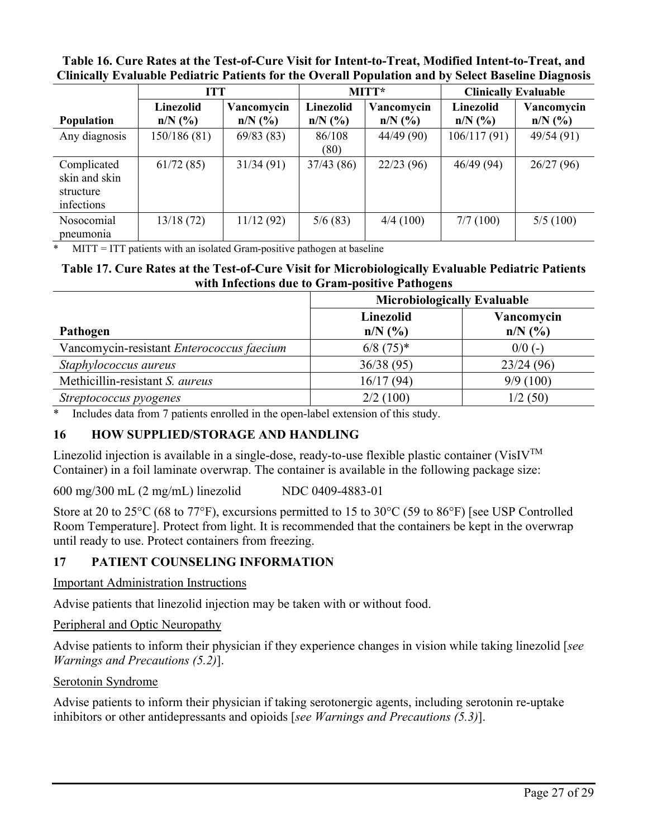|                                                         | <b>ITT</b>             |                         | MITT*                  |                         | <b>Clinically Evaluable</b> |                         |
|---------------------------------------------------------|------------------------|-------------------------|------------------------|-------------------------|-----------------------------|-------------------------|
| Population                                              | Linezolid<br>$n/N$ (%) | Vancomycin<br>$n/N$ (%) | Linezolid<br>$n/N$ (%) | Vancomycin<br>$n/N$ (%) | Linezolid<br>$n/N$ (%)      | Vancomycin<br>$n/N$ (%) |
| Any diagnosis                                           | 150/186 (81)           | 69/83(83)               | 86/108<br>(80)         | 44/49(90)               | 106/117(91)                 | 49/54 (91)              |
| Complicated<br>skin and skin<br>structure<br>infections | 61/72(85)              | 31/34(91)               | 37/43(86)              | 22/23(96)               | 46/49(94)                   | 26/27(96)               |
| Nosocomial<br>pneumonia                                 | 13/18(72)              | 11/12(92)               | 5/6(83)                | 4/4(100)                | 7/7(100)                    | 5/5(100)                |

**Table 16. Cure Rates at the Test-of-Cure Visit for Intent-to-Treat, Modified Intent-to-Treat, and Clinically Evaluable Pediatric Patients for the Overall Population and by Select Baseline Diagnosis**

\* MITT = ITT patients with an isolated Gram-positive pathogen at baseline

#### **Table 17. Cure Rates at the Test-of-Cure Visit for Microbiologically Evaluable Pediatric Patients with Infections due to Gram-positive Pathogens**

|                                           | <b>Microbiologically Evaluable</b>            |                           |  |
|-------------------------------------------|-----------------------------------------------|---------------------------|--|
| Pathogen                                  | Linezolid<br>$n/N$ $\left(\frac{9}{6}\right)$ | Vancomycin<br>$n/N$ $(\%$ |  |
| Vancomycin-resistant Enterococcus faecium | $6/8$ (75) <sup>*</sup>                       | $0/0$ (-)                 |  |
| Staphylococcus aureus                     | 36/38(95)                                     | 23/24(96)                 |  |
| Methicillin-resistant S. aureus           | 16/17(94)                                     | 9/9(100)                  |  |
| Streptococcus pyogenes                    | 2/2(100)                                      | 1/2(50)                   |  |

\* Includes data from 7 patients enrolled in the open-label extension of this study.

# **16 HOW SUPPLIED/STORAGE AND HANDLING**

Linezolid injection is available in a single-dose, ready-to-use flexible plastic container (VisIV<sup>TM</sup> Container) in a foil laminate overwrap. The container is available in the following package size:

600 mg/300 mL (2 mg/mL) linezolid NDC 0409-4883-01

Store at 20 to 25°C (68 to 77°F), excursions permitted to 15 to 30°C (59 to 86°F) [see USP Controlled Room Temperature]. Protect from light. It is recommended that the containers be kept in the overwrap until ready to use. Protect containers from freezing.

# **17 PATIENT COUNSELING INFORMATION**

Important Administration Instructions

Advise patients that linezolid injection may be taken with or without food.

Peripheral and Optic Neuropathy

Advise patients to inform their physician if they experience changes in vision while taking linezolid [*see Warnings and Precautions (5.2)*].

# Serotonin Syndrome

Advise patients to inform their physician if taking serotonergic agents, including serotonin re-uptake inhibitors or other antidepressants and opioids [*see Warnings and Precautions (5.3)*].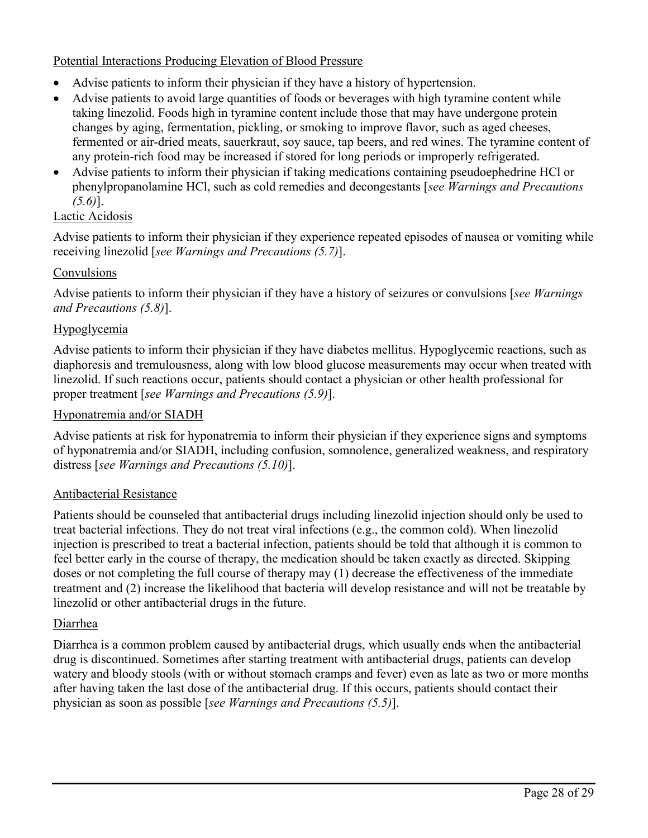## Potential Interactions Producing Elevation of Blood Pressure

- Advise patients to inform their physician if they have a history of hypertension.
- Advise patients to avoid large quantities of foods or beverages with high tyramine content while taking linezolid. Foods high in tyramine content include those that may have undergone protein changes by aging, fermentation, pickling, or smoking to improve flavor, such as aged cheeses, fermented or air-dried meats, sauerkraut, soy sauce, tap beers, and red wines. The tyramine content of any protein-rich food may be increased if stored for long periods or improperly refrigerated.
- Advise patients to inform their physician if taking medications containing pseudoephedrine HCl or phenylpropanolamine HCl, such as cold remedies and decongestants [*see Warnings and Precautions (5.6)*].

# Lactic Acidosis

Advise patients to inform their physician if they experience repeated episodes of nausea or vomiting while receiving linezolid [*see Warnings and Precautions (5.7)*].

# Convulsions

Advise patients to inform their physician if they have a history of seizures or convulsions [*see Warnings and Precautions (5.8)*].

#### Hypoglycemia

Advise patients to inform their physician if they have diabetes mellitus. Hypoglycemic reactions, such as diaphoresis and tremulousness, along with low blood glucose measurements may occur when treated with linezolid. If such reactions occur, patients should contact a physician or other health professional for proper treatment [*see Warnings and Precautions (5.9)*].

#### Hyponatremia and/or SIADH

Advise patients at risk for hyponatremia to inform their physician if they experience signs and symptoms of hyponatremia and/or SIADH, including confusion, somnolence, generalized weakness, and respiratory distress [*see Warnings and Precautions (5.10)*].

#### Antibacterial Resistance

Patients should be counseled that antibacterial drugs including linezolid injection should only be used to treat bacterial infections. They do not treat viral infections (e.g., the common cold). When linezolid injection is prescribed to treat a bacterial infection, patients should be told that although it is common to feel better early in the course of therapy, the medication should be taken exactly as directed. Skipping doses or not completing the full course of therapy may (1) decrease the effectiveness of the immediate treatment and (2) increase the likelihood that bacteria will develop resistance and will not be treatable by linezolid or other antibacterial drugs in the future.

#### Diarrhea

Diarrhea is a common problem caused by antibacterial drugs, which usually ends when the antibacterial drug is discontinued. Sometimes after starting treatment with antibacterial drugs, patients can develop watery and bloody stools (with or without stomach cramps and fever) even as late as two or more months after having taken the last dose of the antibacterial drug. If this occurs, patients should contact their physician as soon as possible [*see Warnings and Precautions (5.5)*].